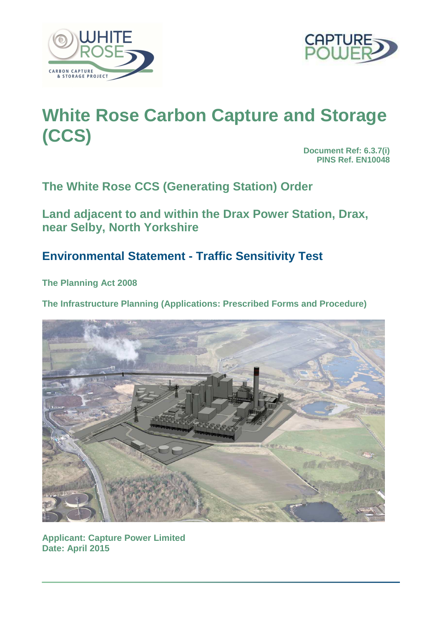



# **White Rose Carbon Capture and Storage (CCS)**

**Document Ref: 6.3.7(i) PINS Ref. EN10048** 

**The White Rose CCS (Generating Station) Order** 

**Land adjacent to and within the Drax Power Station, Drax, near Selby, North Yorkshire** 

## **Environmental Statement - Traffic Sensitivity Test**

**The Planning Act 2008** 

**The Infrastructure Planning (Applications: Prescribed Forms and Procedure)**



**Applicant: Capture Power Limited Date: April 2015**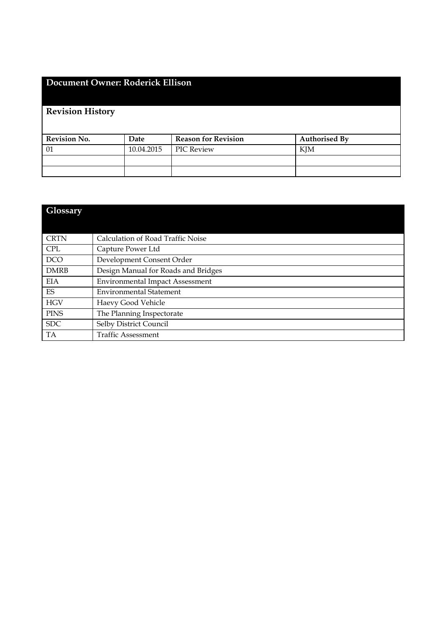### **Document Owner: Roderick Ellison**

## **Revision History**

| <b>Revision No.</b> | Date       | <b>Reason for Revision</b> | <b>Authorised By</b> |
|---------------------|------------|----------------------------|----------------------|
| 01                  | 10.04.2015 | <b>PIC Review</b>          | KJM                  |
|                     |            |                            |                      |
|                     |            |                            |                      |

| <b>Glossary</b> |                                        |
|-----------------|----------------------------------------|
|                 |                                        |
| <b>CRTN</b>     | Calculation of Road Traffic Noise      |
| <b>CPL</b>      | Capture Power Ltd                      |
| <b>DCO</b>      | Development Consent Order              |
| <b>DMRB</b>     | Design Manual for Roads and Bridges    |
| <b>EIA</b>      | <b>Environmental Impact Assessment</b> |
| <b>ES</b>       | <b>Environmental Statement</b>         |
| <b>HGV</b>      | Haevy Good Vehicle                     |
| <b>PINS</b>     | The Planning Inspectorate              |
| <b>SDC</b>      | Selby District Council                 |
| <b>TA</b>       | <b>Traffic Assessment</b>              |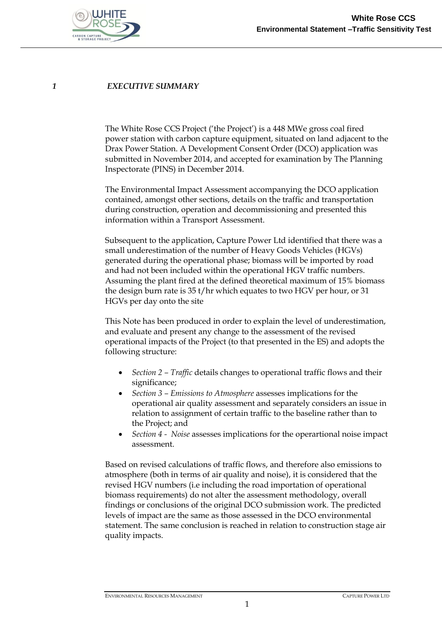

#### *1 EXECUTIVE SUMMARY*

The White Rose CCS Project ('the Project') is a 448 MWe gross coal fired power station with carbon capture equipment, situated on land adjacent to the Drax Power Station. A Development Consent Order (DCO) application was submitted in November 2014, and accepted for examination by The Planning Inspectorate (PINS) in December 2014.

The Environmental Impact Assessment accompanying the DCO application contained, amongst other sections, details on the traffic and transportation during construction, operation and decommissioning and presented this information within a Transport Assessment.

Subsequent to the application, Capture Power Ltd identified that there was a small underestimation of the number of Heavy Goods Vehicles (HGVs) generated during the operational phase; biomass will be imported by road and had not been included within the operational HGV traffic numbers. Assuming the plant fired at the defined theoretical maximum of 15% biomass the design burn rate is 35 t/hr which equates to two HGV per hour, or 31 HGVs per day onto the site

This Note has been produced in order to explain the level of underestimation, and evaluate and present any change to the assessment of the revised operational impacts of the Project (to that presented in the ES) and adopts the following structure:

- *Section 2 – Traffic* details changes to operational traffic flows and their significance;
- *Section 3 – Emissions to Atmosphere* assesses implications for the operational air quality assessment and separately considers an issue in relation to assignment of certain traffic to the baseline rather than to the Project; and
- *Section 4 Noise* assesses implications for the operartional noise impact assessment.

Based on revised calculations of traffic flows, and therefore also emissions to atmosphere (both in terms of air quality and noise), it is considered that the revised HGV numbers (i.e including the road importation of operational biomass requirements) do not alter the assessment methodology, overall findings or conclusions of the original DCO submission work. The predicted levels of impact are the same as those assessed in the DCO environmental statement. The same conclusion is reached in relation to construction stage air quality impacts.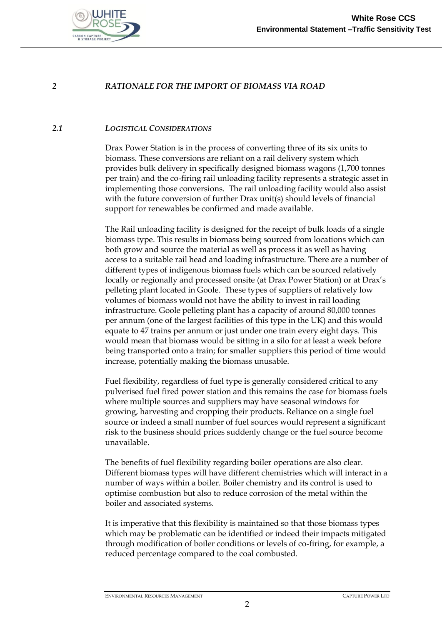

#### *2 RATIONALE FOR THE IMPORT OF BIOMASS VIA ROAD*

#### *2.1 LOGISTICAL CONSIDERATIONS*

Drax Power Station is in the process of converting three of its six units to biomass. These conversions are reliant on a rail delivery system which provides bulk delivery in specifically designed biomass wagons (1,700 tonnes per train) and the co-firing rail unloading facility represents a strategic asset in implementing those conversions. The rail unloading facility would also assist with the future conversion of further Drax unit(s) should levels of financial support for renewables be confirmed and made available.

The Rail unloading facility is designed for the receipt of bulk loads of a single biomass type. This results in biomass being sourced from locations which can both grow and source the material as well as process it as well as having access to a suitable rail head and loading infrastructure. There are a number of different types of indigenous biomass fuels which can be sourced relatively locally or regionally and processed onsite (at Drax Power Station) or at Drax's pelleting plant located in Goole. These types of suppliers of relatively low volumes of biomass would not have the ability to invest in rail loading infrastructure. Goole pelleting plant has a capacity of around 80,000 tonnes per annum (one of the largest facilities of this type in the UK) and this would equate to 47 trains per annum or just under one train every eight days. This would mean that biomass would be sitting in a silo for at least a week before being transported onto a train; for smaller suppliers this period of time would increase, potentially making the biomass unusable.

Fuel flexibility, regardless of fuel type is generally considered critical to any pulverised fuel fired power station and this remains the case for biomass fuels where multiple sources and suppliers may have seasonal windows for growing, harvesting and cropping their products. Reliance on a single fuel source or indeed a small number of fuel sources would represent a significant risk to the business should prices suddenly change or the fuel source become unavailable.

The benefits of fuel flexibility regarding boiler operations are also clear. Different biomass types will have different chemistries which will interact in a number of ways within a boiler. Boiler chemistry and its control is used to optimise combustion but also to reduce corrosion of the metal within the boiler and associated systems.

It is imperative that this flexibility is maintained so that those biomass types which may be problematic can be identified or indeed their impacts mitigated through modification of boiler conditions or levels of co-firing, for example, a reduced percentage compared to the coal combusted.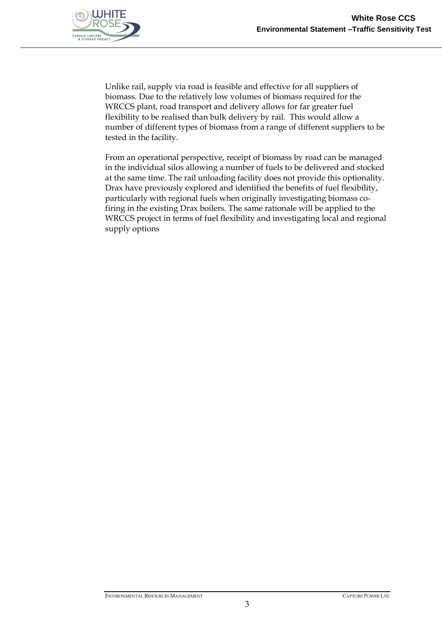

Unlike rail, supply via road is feasible and effective for all suppliers of biomass. Due to the relatively low volumes of biomass required for the WRCCS plant, road transport and delivery allows for far greater fuel flexibility to be realised than bulk delivery by rail. This would allow a number of different types of biomass from a range of different suppliers to be tested in the facility.

From an operational perspective, receipt of biomass by road can be managed in the individual silos allowing a number of fuels to be delivered and stocked at the same time. The rail unloading facility does not provide this optionality. Drax have previously explored and identified the benefits of fuel flexibility, particularly with regional fuels when originally investigating biomass cofiring in the existing Drax boilers. The same rationale will be applied to the WRCCS project in terms of fuel flexibility and investigating local and regional supply options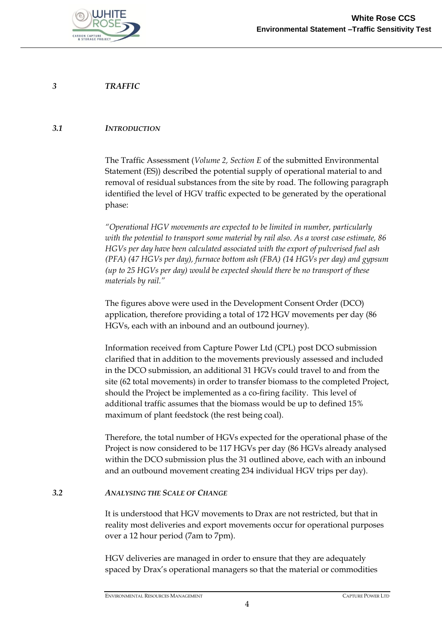

*3 TRAFFIC* 

#### *3.1 INTRODUCTION*

The Traffic Assessment (*Volume 2, Section E* of the submitted Environmental Statement (ES)) described the potential supply of operational material to and removal of residual substances from the site by road. The following paragraph identified the level of HGV traffic expected to be generated by the operational phase:

*"Operational HGV movements are expected to be limited in number, particularly with the potential to transport some material by rail also. As a worst case estimate, 86 HGVs per day have been calculated associated with the export of pulverised fuel ash (PFA) (47 HGVs per day), furnace bottom ash (FBA) (14 HGVs per day) and gypsum (up to 25 HGVs per day) would be expected should there be no transport of these materials by rail."*

The figures above were used in the Development Consent Order (DCO) application, therefore providing a total of 172 HGV movements per day (86 HGVs, each with an inbound and an outbound journey).

Information received from Capture Power Ltd (CPL) post DCO submission clarified that in addition to the movements previously assessed and included in the DCO submission, an additional 31 HGVs could travel to and from the site (62 total movements) in order to transfer biomass to the completed Project, should the Project be implemented as a co-firing facility. This level of additional traffic assumes that the biomass would be up to defined 15% maximum of plant feedstock (the rest being coal).

Therefore, the total number of HGVs expected for the operational phase of the Project is now considered to be 117 HGVs per day (86 HGVs already analysed within the DCO submission plus the 31 outlined above, each with an inbound and an outbound movement creating 234 individual HGV trips per day).

### *3.2 ANALYSING THE SCALE OF CHANGE*

It is understood that HGV movements to Drax are not restricted, but that in reality most deliveries and export movements occur for operational purposes over a 12 hour period (7am to 7pm).

HGV deliveries are managed in order to ensure that they are adequately spaced by Drax's operational managers so that the material or commodities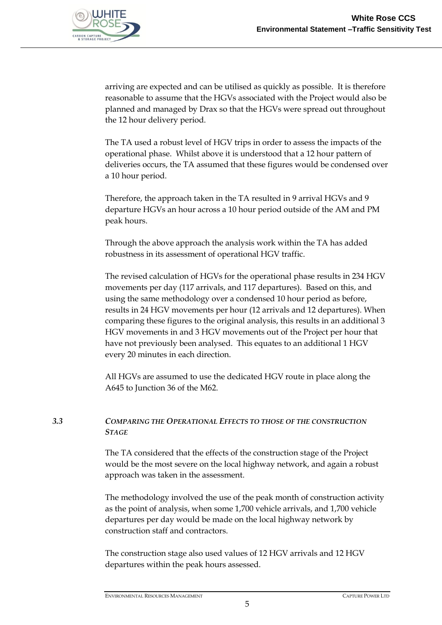

arriving are expected and can be utilised as quickly as possible. It is therefore reasonable to assume that the HGVs associated with the Project would also be planned and managed by Drax so that the HGVs were spread out throughout the 12 hour delivery period.

The TA used a robust level of HGV trips in order to assess the impacts of the operational phase. Whilst above it is understood that a 12 hour pattern of deliveries occurs, the TA assumed that these figures would be condensed over a 10 hour period.

Therefore, the approach taken in the TA resulted in 9 arrival HGVs and 9 departure HGVs an hour across a 10 hour period outside of the AM and PM peak hours.

Through the above approach the analysis work within the TA has added robustness in its assessment of operational HGV traffic.

The revised calculation of HGVs for the operational phase results in 234 HGV movements per day (117 arrivals, and 117 departures). Based on this, and using the same methodology over a condensed 10 hour period as before, results in 24 HGV movements per hour (12 arrivals and 12 departures). When comparing these figures to the original analysis, this results in an additional 3 HGV movements in and 3 HGV movements out of the Project per hour that have not previously been analysed. This equates to an additional 1 HGV every 20 minutes in each direction.

All HGVs are assumed to use the dedicated HGV route in place along the A645 to Junction 36 of the M62.

### *3.3 COMPARING THE OPERATIONAL EFFECTS TO THOSE OF THE CONSTRUCTION STAGE*

The TA considered that the effects of the construction stage of the Project would be the most severe on the local highway network, and again a robust approach was taken in the assessment.

The methodology involved the use of the peak month of construction activity as the point of analysis, when some 1,700 vehicle arrivals, and 1,700 vehicle departures per day would be made on the local highway network by construction staff and contractors.

The construction stage also used values of 12 HGV arrivals and 12 HGV departures within the peak hours assessed.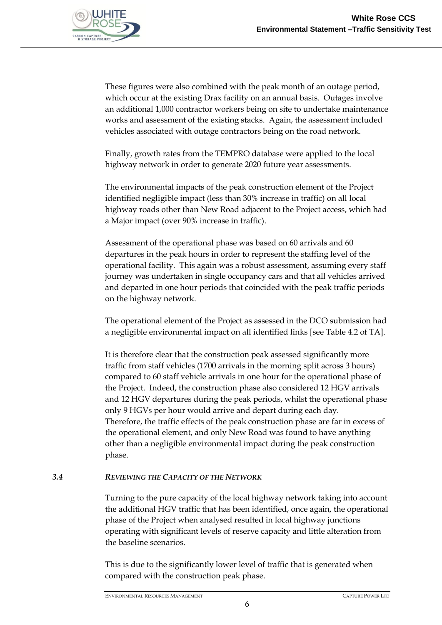

These figures were also combined with the peak month of an outage period, which occur at the existing Drax facility on an annual basis. Outages involve an additional 1,000 contractor workers being on site to undertake maintenance works and assessment of the existing stacks. Again, the assessment included vehicles associated with outage contractors being on the road network.

Finally, growth rates from the TEMPRO database were applied to the local highway network in order to generate 2020 future year assessments.

The environmental impacts of the peak construction element of the Project identified negligible impact (less than 30% increase in traffic) on all local highway roads other than New Road adjacent to the Project access, which had a Major impact (over 90% increase in traffic).

Assessment of the operational phase was based on 60 arrivals and 60 departures in the peak hours in order to represent the staffing level of the operational facility. This again was a robust assessment, assuming every staff journey was undertaken in single occupancy cars and that all vehicles arrived and departed in one hour periods that coincided with the peak traffic periods on the highway network.

The operational element of the Project as assessed in the DCO submission had a negligible environmental impact on all identified links [see Table 4.2 of TA].

It is therefore clear that the construction peak assessed significantly more traffic from staff vehicles (1700 arrivals in the morning split across 3 hours) compared to 60 staff vehicle arrivals in one hour for the operational phase of the Project. Indeed, the construction phase also considered 12 HGV arrivals and 12 HGV departures during the peak periods, whilst the operational phase only 9 HGVs per hour would arrive and depart during each day. Therefore, the traffic effects of the peak construction phase are far in excess of the operational element, and only New Road was found to have anything other than a negligible environmental impact during the peak construction phase.

### *3.4 REVIEWING THE CAPACITY OF THE NETWORK*

Turning to the pure capacity of the local highway network taking into account the additional HGV traffic that has been identified, once again, the operational phase of the Project when analysed resulted in local highway junctions operating with significant levels of reserve capacity and little alteration from the baseline scenarios.

This is due to the significantly lower level of traffic that is generated when compared with the construction peak phase.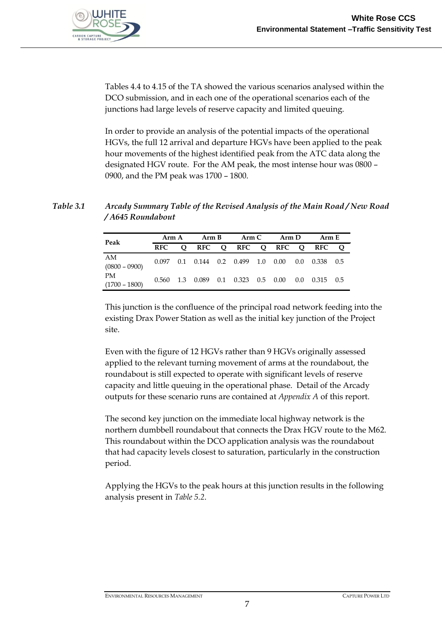

Tables 4.4 to 4.15 of the TA showed the various scenarios analysed within the DCO submission, and in each one of the operational scenarios each of the junctions had large levels of reserve capacity and limited queuing.

In order to provide an analysis of the potential impacts of the operational HGVs, the full 12 arrival and departure HGVs have been applied to the peak hour movements of the highest identified peak from the ATC data along the designated HGV route. For the AM peak, the most intense hour was 0800 – 0900, and the PM peak was 1700 – 1800.

### *Table 3.1 Arcady Summary Table of the Revised Analysis of the Main Road / New Road / A645 Roundabout*

| Peak                         |            | Arm A | Arm B |  | Arm C                                  |  | Arm D |  | Arm E                                              |  |
|------------------------------|------------|-------|-------|--|----------------------------------------|--|-------|--|----------------------------------------------------|--|
|                              | <b>RFC</b> |       |       |  |                                        |  |       |  | Q RFC Q RFC Q RFC Q RFC Q                          |  |
| AM<br>$(0800 - 0900)$        |            |       |       |  |                                        |  |       |  | $0.097$ 0.1 0.144 0.2 0.499 1.0 0.00 0.0 0.338 0.5 |  |
| <b>PM</b><br>$(1700 - 1800)$ |            |       |       |  | $0.560$ 1.3 $0.089$ 0.1 0.323 0.5 0.00 |  |       |  | $0.0 \quad 0.315 \quad 0.5$                        |  |

This junction is the confluence of the principal road network feeding into the existing Drax Power Station as well as the initial key junction of the Project site.

Even with the figure of 12 HGVs rather than 9 HGVs originally assessed applied to the relevant turning movement of arms at the roundabout, the roundabout is still expected to operate with significant levels of reserve capacity and little queuing in the operational phase. Detail of the Arcady outputs for these scenario runs are contained at *Appendix A* of this report.

The second key junction on the immediate local highway network is the northern dumbbell roundabout that connects the Drax HGV route to the M62. This roundabout within the DCO application analysis was the roundabout that had capacity levels closest to saturation, particularly in the construction period.

Applying the HGVs to the peak hours at this junction results in the following analysis present in *Table 5.2*.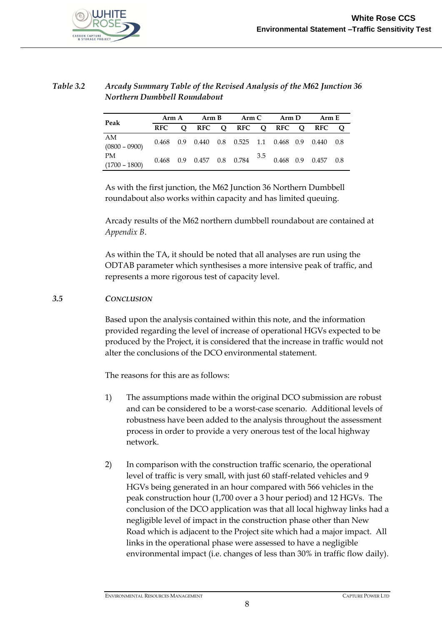

### *Table 3.2 Arcady Summary Table of the Revised Analysis of the M62 Junction 36 Northern Dumbbell Roundabout*

| Peak                  |            | Arm A | Arm B |  | Arm C Arm D |  |  |  | Arm E                                                 |  |
|-----------------------|------------|-------|-------|--|-------------|--|--|--|-------------------------------------------------------|--|
|                       | <b>RFC</b> |       |       |  |             |  |  |  | O RFC O RFC O RFC O RFC O                             |  |
| AM<br>$(0800 - 0900)$ |            |       |       |  |             |  |  |  | $0.468$ 0.9 0.440 0.8 0.525 1.1 0.468 0.9 0.440 0.8   |  |
| PM<br>$(1700 - 1800)$ |            |       |       |  |             |  |  |  | $0.468$ 0.9 0.457 0.8 0.784 $3.5$ 0.468 0.9 0.457 0.8 |  |

As with the first junction, the M62 Junction 36 Northern Dumbbell roundabout also works within capacity and has limited queuing.

Arcady results of the M62 northern dumbbell roundabout are contained at *Appendix B*.

As within the TA, it should be noted that all analyses are run using the ODTAB parameter which synthesises a more intensive peak of traffic, and represents a more rigorous test of capacity level.

#### *3.5 CONCLUSION*

Based upon the analysis contained within this note, and the information provided regarding the level of increase of operational HGVs expected to be produced by the Project, it is considered that the increase in traffic would not alter the conclusions of the DCO environmental statement.

The reasons for this are as follows:

- 1) The assumptions made within the original DCO submission are robust and can be considered to be a worst-case scenario. Additional levels of robustness have been added to the analysis throughout the assessment process in order to provide a very onerous test of the local highway network.
- 2) In comparison with the construction traffic scenario, the operational level of traffic is very small, with just 60 staff-related vehicles and 9 HGVs being generated in an hour compared with 566 vehicles in the peak construction hour (1,700 over a 3 hour period) and 12 HGVs. The conclusion of the DCO application was that all local highway links had a negligible level of impact in the construction phase other than New Road which is adjacent to the Project site which had a major impact. All links in the operational phase were assessed to have a negligible environmental impact (i.e. changes of less than 30% in traffic flow daily).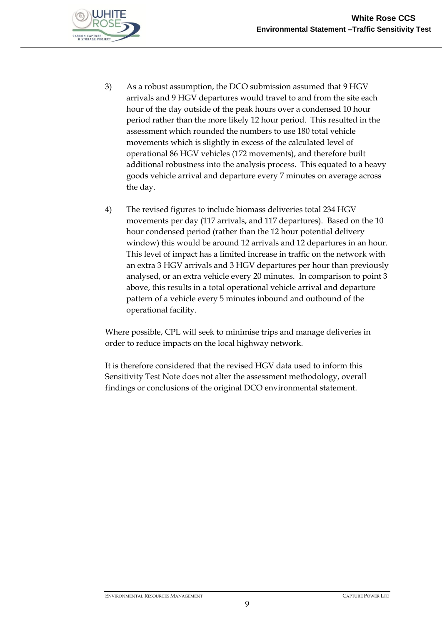

- 3) As a robust assumption, the DCO submission assumed that 9 HGV arrivals and 9 HGV departures would travel to and from the site each hour of the day outside of the peak hours over a condensed 10 hour period rather than the more likely 12 hour period. This resulted in the assessment which rounded the numbers to use 180 total vehicle movements which is slightly in excess of the calculated level of operational 86 HGV vehicles (172 movements), and therefore built additional robustness into the analysis process. This equated to a heavy goods vehicle arrival and departure every 7 minutes on average across the day.
- 4) The revised figures to include biomass deliveries total 234 HGV movements per day (117 arrivals, and 117 departures). Based on the 10 hour condensed period (rather than the 12 hour potential delivery window) this would be around 12 arrivals and 12 departures in an hour. This level of impact has a limited increase in traffic on the network with an extra 3 HGV arrivals and 3 HGV departures per hour than previously analysed, or an extra vehicle every 20 minutes. In comparison to point 3 above, this results in a total operational vehicle arrival and departure pattern of a vehicle every 5 minutes inbound and outbound of the operational facility.

Where possible, CPL will seek to minimise trips and manage deliveries in order to reduce impacts on the local highway network.

It is therefore considered that the revised HGV data used to inform this Sensitivity Test Note does not alter the assessment methodology, overall findings or conclusions of the original DCO environmental statement.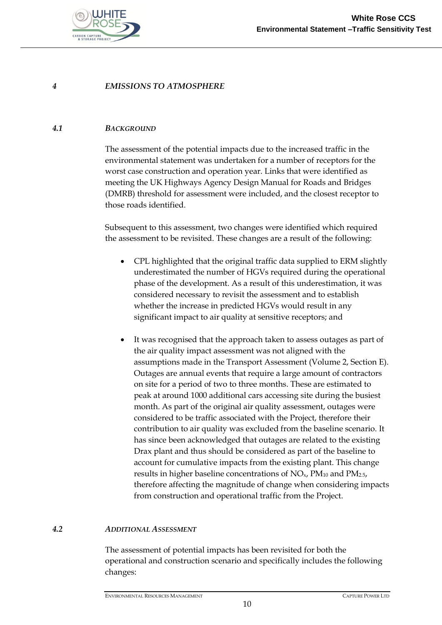

#### *4 EMISSIONS TO ATMOSPHERE*

#### *4.1 BACKGROUND*

The assessment of the potential impacts due to the increased traffic in the environmental statement was undertaken for a number of receptors for the worst case construction and operation year. Links that were identified as meeting the UK Highways Agency Design Manual for Roads and Bridges (DMRB) threshold for assessment were included, and the closest receptor to those roads identified.

Subsequent to this assessment, two changes were identified which required the assessment to be revisited. These changes are a result of the following:

- CPL highlighted that the original traffic data supplied to ERM slightly underestimated the number of HGVs required during the operational phase of the development. As a result of this underestimation, it was considered necessary to revisit the assessment and to establish whether the increase in predicted HGVs would result in any significant impact to air quality at sensitive receptors; and
- It was recognised that the approach taken to assess outages as part of the air quality impact assessment was not aligned with the assumptions made in the Transport Assessment (Volume 2, Section E). Outages are annual events that require a large amount of contractors on site for a period of two to three months. These are estimated to peak at around 1000 additional cars accessing site during the busiest month. As part of the original air quality assessment, outages were considered to be traffic associated with the Project, therefore their contribution to air quality was excluded from the baseline scenario. It has since been acknowledged that outages are related to the existing Drax plant and thus should be considered as part of the baseline to account for cumulative impacts from the existing plant. This change results in higher baseline concentrations of  $NO<sub>x</sub>$ ,  $PM<sub>10</sub>$  and  $PM<sub>2.5</sub>$ , therefore affecting the magnitude of change when considering impacts from construction and operational traffic from the Project.

#### *4.2 ADDITIONAL ASSESSMENT*

The assessment of potential impacts has been revisited for both the operational and construction scenario and specifically includes the following changes: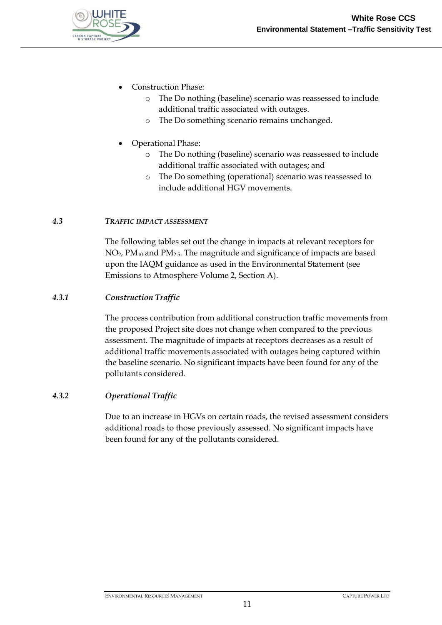

- Construction Phase:
	- o The Do nothing (baseline) scenario was reassessed to include additional traffic associated with outages.
	- o The Do something scenario remains unchanged.
- Operational Phase:
	- o The Do nothing (baseline) scenario was reassessed to include additional traffic associated with outages; and
	- o The Do something (operational) scenario was reassessed to include additional HGV movements.

### *4.3 TRAFFIC IMPACT ASSESSMENT*

The following tables set out the change in impacts at relevant receptors for NO2, PM<sup>10</sup> and PM2.5. The magnitude and significance of impacts are based upon the IAQM guidance as used in the Environmental Statement (see Emissions to Atmosphere Volume 2, Section A).

#### *4.3.1 Construction Traffic*

The process contribution from additional construction traffic movements from the proposed Project site does not change when compared to the previous assessment. The magnitude of impacts at receptors decreases as a result of additional traffic movements associated with outages being captured within the baseline scenario. No significant impacts have been found for any of the pollutants considered.

### *4.3.2 Operational Traffic*

Due to an increase in HGVs on certain roads, the revised assessment considers additional roads to those previously assessed. No significant impacts have been found for any of the pollutants considered.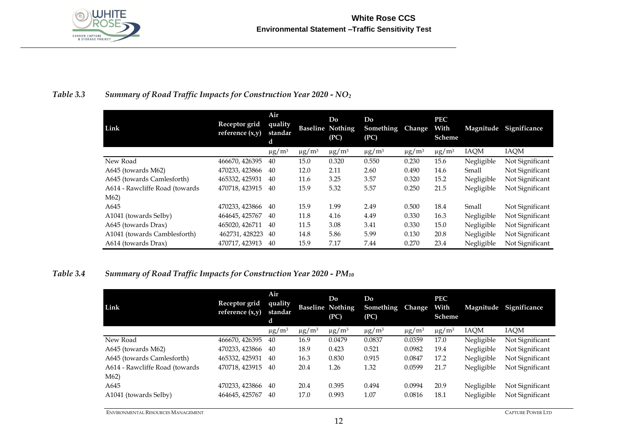

### *Table 3.3 Summary of Road Traffic Impacts for Construction Year 2020 - NO<sup>2</sup>*

| Link                           | Receptor grid<br>reference $(x,y)$ | Air<br>quality<br>standar<br>d |                        | Do<br><b>Baseline Nothing</b><br>(PC) | Do<br>Something<br>(PC) | Change         | <b>PEC</b><br>With<br>Scheme | Magnitude   | Significance    |
|--------------------------------|------------------------------------|--------------------------------|------------------------|---------------------------------------|-------------------------|----------------|------------------------------|-------------|-----------------|
|                                |                                    | $\mu$ g/m <sup>3</sup>         | $\mu$ g/m <sup>3</sup> | $\mu$ g/m <sup>3</sup>                | $\mu$ g/m <sup>3</sup>  | $\mu$ g/m $^3$ | $\mu$ g/m <sup>3</sup>       | <b>IAQM</b> | <b>IAQM</b>     |
| New Road                       | 466670, 426395                     | 40                             | 15.0                   | 0.320                                 | 0.550                   | 0.230          | 15.6                         | Negligible  | Not Significant |
| A645 (towards M62)             | 470233, 423866                     | 40                             | 12.0                   | 2.11                                  | 2.60                    | 0.490          | 14.6                         | Small       | Not Significant |
| A645 (towards Camlesforth)     | 465332, 425931                     | 40                             | 11.6                   | 3.25                                  | 3.57                    | 0.320          | 15.2                         | Negligible  | Not Significant |
| A614 - Rawcliffe Road (towards | 470718, 423915                     | 40                             | 15.9                   | 5.32                                  | 5.57                    | 0.250          | 21.5                         | Negligible  | Not Significant |
| M <sub>62</sub>                |                                    |                                |                        |                                       |                         |                |                              |             |                 |
| A645                           | 470233, 423866                     | 40                             | 15.9                   | 1.99                                  | 2.49                    | 0.500          | 18.4                         | Small       | Not Significant |
| A1041 (towards Selby)          | 464645, 425767                     | 40                             | 11.8                   | 4.16                                  | 4.49                    | 0.330          | 16.3                         | Negligible  | Not Significant |
| A645 (towards Drax)            | 465020, 426711                     | 40                             | 11.5                   | 3.08                                  | 3.41                    | 0.330          | 15.0                         | Negligible  | Not Significant |
| A1041 (towards Camblesforth)   | 462731, 428223                     | 40                             | 14.8                   | 5.86                                  | 5.99                    | 0.130          | 20.8                         | Negligible  | Not Significant |
| A614 (towards Drax)            | 470717, 423913                     | 40                             | 15.9                   | 7.17                                  | 7.44                    | 0.270          | 23.4                         | Negligible  | Not Significant |

### *Table 3.4 Summary of Road Traffic Impacts for Construction Year 2020 - PM<sup>10</sup>*

| Link                           | Receptor grid<br>reference $(x,y)$ | Air<br>quality<br>standar<br>d |                        | Do<br><b>Baseline Nothing</b><br>(PC) | Do<br><b>Something</b><br>(PC) | <b>Change</b>          | <b>PEC</b><br>With<br>Scheme | Magnitude  | Significance    |
|--------------------------------|------------------------------------|--------------------------------|------------------------|---------------------------------------|--------------------------------|------------------------|------------------------------|------------|-----------------|
|                                |                                    | $\mu$ g/m <sup>3</sup>         | $\mu$ g/m <sup>3</sup> | $\mu$ g/m <sup>3</sup>                | $\mu$ g/m <sup>3</sup>         | $\mu$ g/m <sup>3</sup> | $\mu$ g/m <sup>3</sup>       | IAQM       | IAQM            |
| New Road                       | 466670, 426395                     | 40                             | 16.9                   | 0.0479                                | 0.0837                         | 0.0359                 | 17.0                         | Negligible | Not Significant |
| A645 (towards M62)             | 470233, 423866                     | 40                             | 18.9                   | 0.423                                 | 0.521                          | 0.0982                 | 19.4                         | Negligible | Not Significant |
| A645 (towards Camlesforth)     | 465332, 425931                     | 40                             | 16.3                   | 0.830                                 | 0.915                          | 0.0847                 | 17.2                         | Negligible | Not Significant |
| A614 - Rawcliffe Road (towards | 470718, 423915                     | 40                             | 20.4                   | 1.26                                  | 1.32                           | 0.0599                 | 21.7                         | Negligible | Not Significant |
| M <sub>62</sub>                |                                    |                                |                        |                                       |                                |                        |                              |            |                 |
| A645                           | 470233, 423866                     | 40                             | 20.4                   | 0.395                                 | 0.494                          | 0.0994                 | 20.9                         | Negligible | Not Significant |
| A1041 (towards Selby)          | 464645, 425767                     | 40                             | 17.0                   | 0.993                                 | 1.07                           | 0.0816                 | 18.1                         | Negligible | Not Significant |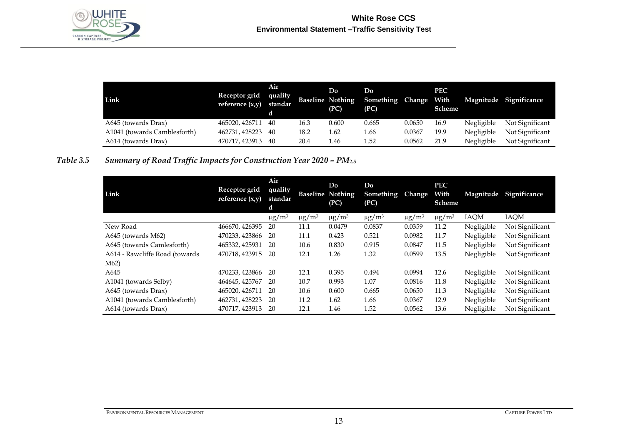

| Link                         | Receptor grid<br>reference $(x,y)$ standar | Air<br>quality |      | Do<br><b>Baseline Nothing</b><br>(PC) | Do<br>Something Change<br>(PC) |        | <b>PEC</b><br>With<br>Scheme |            | Magnitude Significance |
|------------------------------|--------------------------------------------|----------------|------|---------------------------------------|--------------------------------|--------|------------------------------|------------|------------------------|
| A645 (towards Drax)          | 465020, 426711 40                          |                | 16.3 | 0.600                                 | 0.665                          | 0.0650 | 16.9                         | Negligible | Not Significant        |
| A1041 (towards Camblesforth) | 462731, 428223 40                          |                | 18.2 | 1.62                                  | 1.66                           | 0.0367 | 19.9                         | Negligible | Not Significant        |
| A614 (towards Drax)          | 470717, 423913                             | -40            | 20.4 | l.46                                  | l.52                           | 0.0562 | 21.9                         | Negligible | Not Significant        |

### *Table 3.5* Summary of Road Traffic Impacts for Construction Year 2020 - PM<sub>2.5</sub>

| Link                           | Receptor grid<br>reference $(x,y)$ | Air<br>quality<br>standar<br>d |                        | Do<br><b>Baseline Nothing</b><br>(PC) | Do<br><b>Something</b><br>(PC) | <b>Change</b>          | <b>PEC</b><br>With<br>Scheme | Magnitude   | Significance    |
|--------------------------------|------------------------------------|--------------------------------|------------------------|---------------------------------------|--------------------------------|------------------------|------------------------------|-------------|-----------------|
|                                |                                    | $\mu$ g/m <sup>3</sup>         | $\mu$ g/m <sup>3</sup> | $\mu$ g/m <sup>3</sup>                | $\mu$ g/m <sup>3</sup>         | $\mu$ g/m <sup>3</sup> | $\mu$ g/m <sup>3</sup>       | <b>IAQM</b> | IAQM            |
| New Road                       | 466670, 426395                     | 20                             | 11.1                   | 0.0479                                | 0.0837                         | 0.0359                 | 11.2                         | Negligible  | Not Significant |
| A645 (towards M62)             | 470233, 423866                     | 20                             | 11.1                   | 0.423                                 | 0.521                          | 0.0982                 | 11.7                         | Negligible  | Not Significant |
| A645 (towards Camlesforth)     | 465332, 425931                     | 20                             | 10.6                   | 0.830                                 | 0.915                          | 0.0847                 | 11.5                         | Negligible  | Not Significant |
| A614 - Rawcliffe Road (towards | 470718, 423915                     | 20                             | 12.1                   | 1.26                                  | 1.32                           | 0.0599                 | 13.5                         | Negligible  | Not Significant |
| M <sub>62</sub>                |                                    |                                |                        |                                       |                                |                        |                              |             |                 |
| A645                           | 470233, 423866                     | 20                             | 12.1                   | 0.395                                 | 0.494                          | 0.0994                 | 12.6                         | Negligible  | Not Significant |
| A1041 (towards Selby)          | 464645, 425767                     | 20                             | 10.7                   | 0.993                                 | 1.07                           | 0.0816                 | 11.8                         | Negligible  | Not Significant |
| A645 (towards Drax)            | 465020, 426711                     | 20                             | 10.6                   | 0.600                                 | 0.665                          | 0.0650                 | 11.3                         | Negligible  | Not Significant |
| A1041 (towards Camblesforth)   | 462731, 428223                     | 20                             | 11.2                   | 1.62                                  | 1.66                           | 0.0367                 | 12.9                         | Negligible  | Not Significant |
| A614 (towards Drax)            | 470717, 423913                     | 20                             | 12.1                   | 1.46                                  | 1.52                           | 0.0562                 | 13.6                         | Negligible  | Not Significant |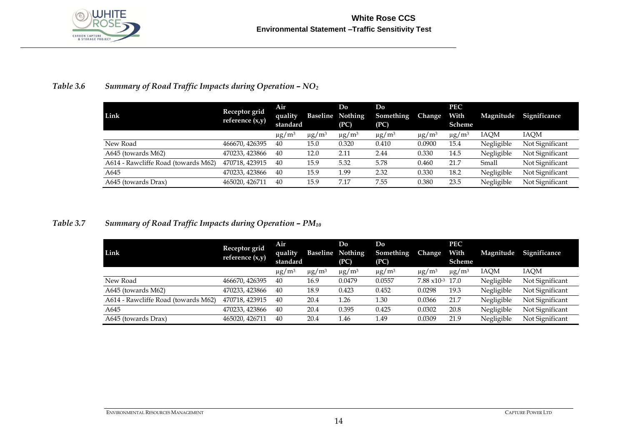

### *Table 3.6* Summary of Road Traffic Impacts during Operation -  $NO<sub>2</sub>$

| Link                                | Receptor grid<br>reference $(x,y)$ | Air<br>quality<br>standard | <b>Baseline Nothing</b> | Do<br>(PC)             | Do<br>Something<br>(PC) | <b>Change</b>          | <b>PEC</b><br>With<br>Scheme | Magnitude  | Significance    |
|-------------------------------------|------------------------------------|----------------------------|-------------------------|------------------------|-------------------------|------------------------|------------------------------|------------|-----------------|
|                                     |                                    | $\mu$ g/m <sup>3</sup>     | $\mu$ g/m <sup>3</sup>  | $\mu$ g/m <sup>3</sup> | $\mu$ g/m <sup>3</sup>  | $\mu$ g/m <sup>3</sup> | $\mu$ g/m <sup>3</sup>       | IAOM       | <b>IAOM</b>     |
| New Road                            | 466670, 426395                     | 40                         | 15.0                    | 0.320                  | 0.410                   | 0.0900                 | 15.4                         | Negligible | Not Significant |
| A645 (towards M62)                  | 470233, 423866                     | 40                         | 12.0                    | 2.11                   | 2.44                    | 0.330                  | 14.5                         | Negligible | Not Significant |
| A614 - Rawcliffe Road (towards M62) | 470718, 423915                     | 40                         | 15.9                    | 5.32                   | 5.78                    | 0.460                  | 21.7                         | Small      | Not Significant |
| A645                                | 470233, 423866                     | 40                         | 15.9                    | 1.99                   | 2.32                    | 0.330                  | 18.2                         | Negligible | Not Significant |
| A645 (towards Drax)                 | 465020, 426711                     | 40                         | 15.9                    | 7.17                   | 7.55                    | 0.380                  | 23.5                         | Negligible | Not Significant |

### *Table 3.7* Summary of Road Traffic Impacts during Operation -  $PM_{10}$

| Link                                | Receptor grid<br>reference $(x,y)$ | Air<br>quality<br>standard | Baseline               | Do<br><b>Nothing</b><br>(PC) | Do<br>Something<br>(PC) | <b>Change</b>          | <b>PEC</b><br>With<br>Scheme | Magnitude  | Significance    |
|-------------------------------------|------------------------------------|----------------------------|------------------------|------------------------------|-------------------------|------------------------|------------------------------|------------|-----------------|
|                                     |                                    | $\mu$ g/m <sup>3</sup>     | $\mu$ g/m <sup>3</sup> | $\mu$ g/m <sup>3</sup>       | $\mu$ g/m <sup>3</sup>  | $\mu$ g/m <sup>3</sup> | $\mu$ g/m <sup>3</sup>       | IAQM       | IAOM            |
| New Road                            | 466670, 426395                     | 40                         | 16.9                   | 0.0479                       | 0.0557                  | $7.88 \times 10^{-3}$  | 17.0                         | Negligible | Not Significant |
| A645 (towards M62)                  | 470233, 423866                     | 40                         | 18.9                   | 0.423                        | 0.452                   | 0.0298                 | 19.3                         | Negligible | Not Significant |
| A614 - Rawcliffe Road (towards M62) | 470718, 423915                     | 40                         | 20.4                   | 1.26                         | 1.30                    | 0.0366                 | 21.7                         | Negligible | Not Significant |
| A645                                | 470233, 423866                     | 40                         | 20.4                   | 0.395                        | 0.425                   | 0.0302                 | 20.8                         | Negligible | Not Significant |
| A645 (towards Drax)                 | 465020, 426711                     | 40                         | 20.4                   | 1.46                         | 1.49                    | 0.0309                 | 21.9                         | Negligible | Not Significant |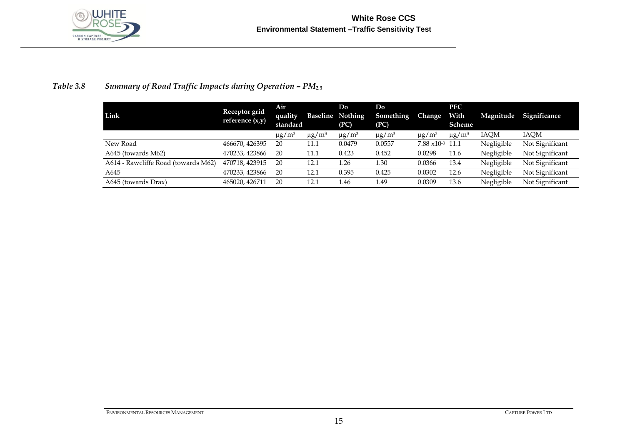

### *Table 3.8* Summary of Road Traffic Impacts during Operation -  $PM_{2.5}$

| Link                                | Receptor grid<br>reference $(x,y)$ | Air<br>quality<br>standard | Baseline               | Do<br>Nothing<br>(PC)  | Do<br>Something<br>(PC) | Change                 | <b>PEC</b><br>With<br>Scheme | Magnitude  | <b>Significance</b> |
|-------------------------------------|------------------------------------|----------------------------|------------------------|------------------------|-------------------------|------------------------|------------------------------|------------|---------------------|
|                                     |                                    | $\mu$ g/m <sup>3</sup>     | $\mu$ g/m <sup>3</sup> | $\mu$ g/m <sup>3</sup> | $\mu$ g/m <sup>3</sup>  | $\mu$ g/m <sup>3</sup> | $\mu$ g/m <sup>3</sup>       | IAOM       | IAOM                |
| New Road                            | 466670, 426395                     | 20                         | 11.1                   | 0.0479                 | 0.0557                  | $7.88 \times 10^{-3}$  | 11.1                         | Negligible | Not Significant     |
| A645 (towards M62)                  | 470233, 423866                     | 20                         | 11.1                   | 0.423                  | 0.452                   | 0.0298                 | 11.6                         | Negligible | Not Significant     |
| A614 - Rawcliffe Road (towards M62) | 470718, 423915                     | 20                         | 12.1                   | 1.26                   | 1.30                    | 0.0366                 | 13.4                         | Negligible | Not Significant     |
| A645                                | 470233, 423866                     | 20                         | 12.1                   | 0.395                  | 0.425                   | 0.0302                 | 12.6                         | Negligible | Not Significant     |
| A645 (towards Drax)                 | 465020, 426711                     | 20                         | 12.1                   | 1.46                   | 1.49                    | 0.0309                 | 13.6                         | Negligible | Not Significant     |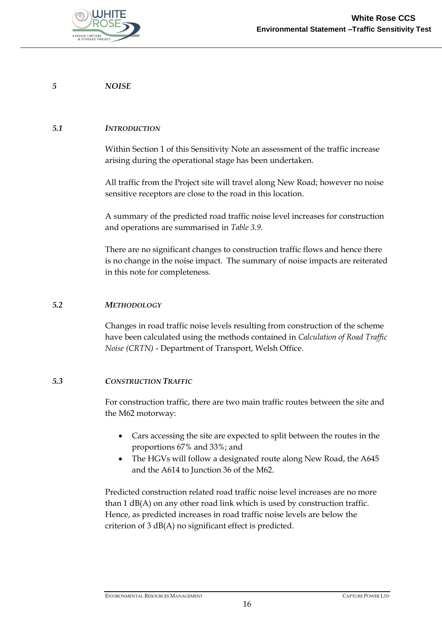

#### *5 NOISE*

#### *5.1 INTRODUCTION*

Within Section 1 of this Sensitivity Note an assessment of the traffic increase arising during the operational stage has been undertaken.

All traffic from the Project site will travel along New Road; however no noise sensitive receptors are close to the road in this location.

A summary of the predicted road traffic noise level increases for construction and operations are summarised in *[Table 3.9](#page-19-0)*.

There are no significant changes to construction traffic flows and hence there is no change in the noise impact. The summary of noise impacts are reiterated in this note for completeness.

#### *5.2 METHODOLOGY*

Changes in road traffic noise levels resulting from construction of the scheme have been calculated using the methods contained in *Calculation of Road Traffic Noise (CRTN)* - Department of Transport, Welsh Office.

#### *5.3 CONSTRUCTION TRAFFIC*

For construction traffic, there are two main traffic routes between the site and the M62 motorway:

- Cars accessing the site are expected to split between the routes in the proportions 67% and 33%; and
- The HGVs will follow a designated route along New Road, the A645 and the A614 to Junction 36 of the M62.

Predicted construction related road traffic noise level increases are no more than 1 dB(A) on any other road link which is used by construction traffic. Hence, as predicted increases in road traffic noise levels are below the criterion of 3 dB(A) no significant effect is predicted.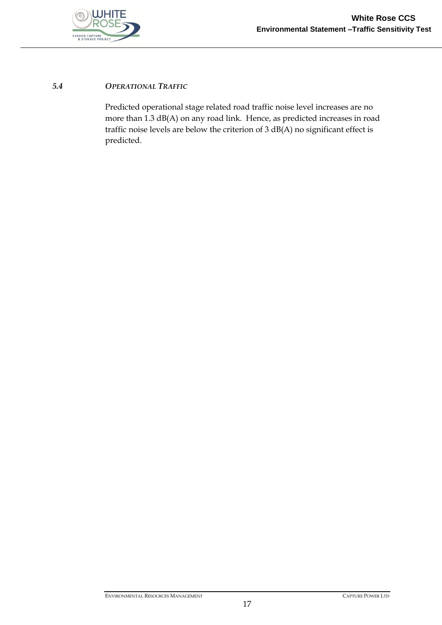

### *5.4 OPERATIONAL TRAFFIC*

Predicted operational stage related road traffic noise level increases are no more than 1.3 dB(A) on any road link. Hence, as predicted increases in road traffic noise levels are below the criterion of 3 dB(A) no significant effect is predicted.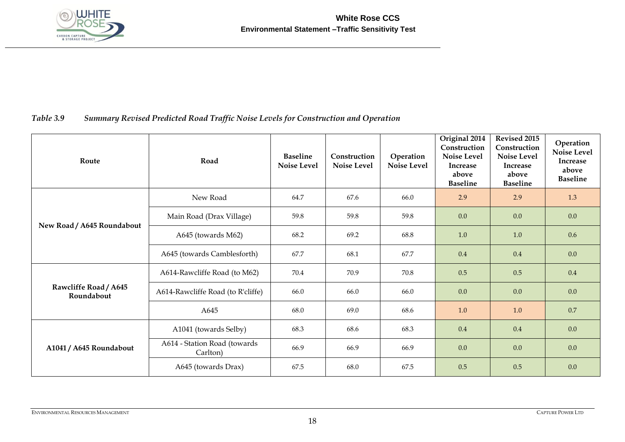

### *Table 3.9 Summary Revised Predicted Road Traffic Noise Levels for Construction and Operation*

<span id="page-19-0"></span>

| Route                               | Road                                     | <b>Baseline</b><br><b>Noise Level</b> | Construction<br>Noise Level | Operation<br><b>Noise Level</b> | Original 2014<br>Construction<br><b>Noise Level</b><br><b>Increase</b><br>above<br><b>Baseline</b> | Revised 2015<br>Construction<br><b>Noise Level</b><br>Increase<br>above<br><b>Baseline</b> | Operation<br><b>Noise Level</b><br><b>Increase</b><br>above<br><b>Baseline</b> |
|-------------------------------------|------------------------------------------|---------------------------------------|-----------------------------|---------------------------------|----------------------------------------------------------------------------------------------------|--------------------------------------------------------------------------------------------|--------------------------------------------------------------------------------|
|                                     | New Road                                 | 64.7                                  | 67.6                        | 66.0                            | 2.9                                                                                                | 2.9                                                                                        | 1.3                                                                            |
| New Road / A645 Roundabout          | Main Road (Drax Village)                 | 59.8                                  | 59.8                        | 59.8                            | 0.0                                                                                                | 0.0                                                                                        | 0.0                                                                            |
|                                     | A645 (towards M62)                       | 68.2                                  | 69.2                        | 68.8                            | 1.0                                                                                                | 1.0                                                                                        | 0.6                                                                            |
|                                     | A645 (towards Camblesforth)              | 67.7                                  | 68.1                        | 67.7                            | 0.4                                                                                                | 0.4                                                                                        | 0.0                                                                            |
|                                     | A614-Rawcliffe Road (to M62)             | 70.4                                  | 70.9                        | 70.8                            | 0.5                                                                                                | 0.5                                                                                        | 0.4                                                                            |
| Rawcliffe Road / A645<br>Roundabout | A614-Rawcliffe Road (to R'cliffe)        | 66.0                                  | 66.0                        | 66.0                            | 0.0                                                                                                | 0.0                                                                                        | 0.0                                                                            |
|                                     | A645                                     | 68.0                                  | 69.0                        | 68.6                            | 1.0                                                                                                | $1.0\,$                                                                                    | 0.7                                                                            |
|                                     | A1041 (towards Selby)                    | 68.3                                  | 68.6                        | 68.3                            | 0.4                                                                                                | 0.4                                                                                        | 0.0                                                                            |
| A1041 / A645 Roundabout             | A614 - Station Road (towards<br>Carlton) | 66.9                                  | 66.9                        | 66.9                            | 0.0                                                                                                | 0.0                                                                                        | 0.0                                                                            |
|                                     | A645 (towards Drax)                      | 67.5                                  | 68.0                        | 67.5                            | 0.5                                                                                                | 0.5                                                                                        | 0.0                                                                            |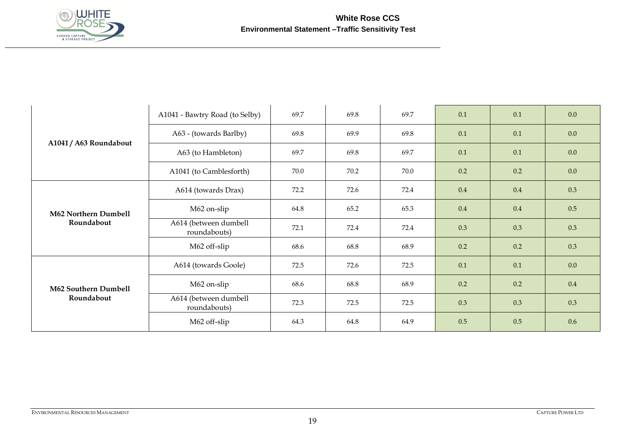

|                             | A1041 - Bawtry Road (to Selby)        | 69.7 | 69.8 | 69.7 | 0.1 | 0.1 | 0.0 |
|-----------------------------|---------------------------------------|------|------|------|-----|-----|-----|
|                             | A63 - (towards Barlby)                | 69.8 | 69.9 | 69.8 | 0.1 | 0.1 | 0.0 |
| A1041 / A63 Roundabout      | A63 (to Hambleton)                    | 69.7 | 69.8 | 69.7 | 0.1 | 0.1 | 0.0 |
|                             | A1041 (to Camblesforth)               | 70.0 | 70.2 | 70.0 | 0.2 | 0.2 | 0.0 |
|                             | A614 (towards Drax)                   | 72.2 | 72.6 | 72.4 | 0.4 | 0.4 | 0.3 |
| <b>M62 Northern Dumbell</b> | M62 on-slip                           | 64.8 | 65.2 | 65.3 | 0.4 | 0.4 | 0.5 |
| Roundabout                  | A614 (between dumbell<br>roundabouts) | 72.1 | 72.4 | 72.4 | 0.3 | 0.3 | 0.3 |
|                             | M62 off-slip                          | 68.6 | 68.8 | 68.9 | 0.2 | 0.2 | 0.3 |
|                             | A614 (towards Goole)                  | 72.5 | 72.6 | 72.5 | 0.1 | 0.1 | 0.0 |
| M62 Southern Dumbell        | M62 on-slip                           | 68.6 | 68.8 | 68.9 | 0.2 | 0.2 | 0.4 |
| Roundabout                  | A614 (between dumbell<br>roundabouts) | 72.3 | 72.5 | 72.5 | 0.3 | 0.3 | 0.3 |
|                             | M62 off-slip                          | 64.3 | 64.8 | 64.9 | 0.5 | 0.5 | 0.6 |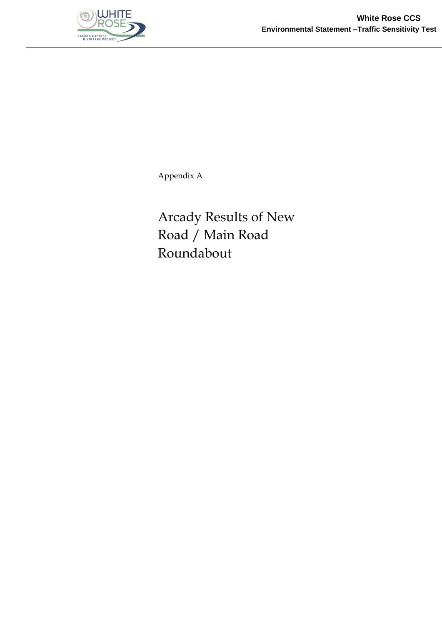

Appendix A

Arcady Results of New Road / Main Road Roundabout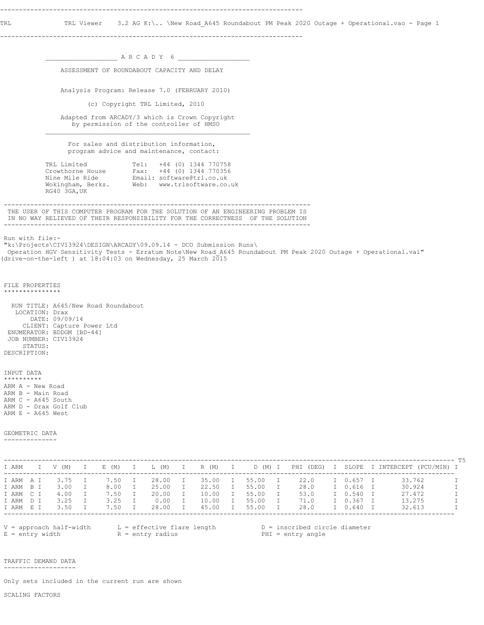TRL TRL Viewer 3.2 AG K:\.. \New Road\_A645 Roundabout PM Peak 2020 Outage + Operational.vao - Page 1

--------------------------------------------------------------------------------

 $\_$  A R C A D Y 6  $\_$  ASSESSMENT OF ROUNDABOUT CAPACITY AND DELAY Analysis Program: Release 7.0 (FEBRUARY 2010) (c) Copyright TRL Limited, 2010 Adapted from ARCADY/3 which is Crown Copyright by permission of the controller of HMSO  $\mathcal{L}_\text{max}$  For sales and distribution information, program advice and maintenance, contact: TRL Limited Tel: +44 (0) 1344 770758 Crowthorne House Fax: +44 (0) 1344 770356 Nine Mile Ride Email: software@trl.co.uk Wokingham, Berks. Web: www.trlsoftware.co.uk RG40 3GA,UK --------------------------------------------------------------------------------- THE USER OF THIS COMPUTER PROGRAM FOR THE SOLUTION OF AN ENGINEERING PROBLEM IS IN NO WAY RELIEVED OF THEIR RESPONSIBILITY FOR THE CORRECTNESS OF THE SOLUTION --------------------------------------------------------------------------------- Run with file:- "k:\Projects\CIV13924\DESIGN\ARCADY\09.09.14 - DCO Submission Runs\ Operation HGV Sensitivity Tests - Erratum Note\New Road\_A645 Roundabout PM Peak 2020 Outage + Operational.vai" (drive-on-the-left ) at  $18:04:03$  on Wednesday, 25 March 2015 FILE PROPERTIES \*\*\*\*\*\*\*\*\*\*\*\*\*\*\* RUN TITLE: A645/New Road Roundabout LOCATION: Drax DATE: 09/09/14 CLIENT: Capture Power Ltd ENUMERATOR: BDDGM [BD-44] JOB NUMBER: CIV13924 STATUS: DESCRIPTION: INPUT DATA \*\*\*\*\*\*\*\*\*\* ARM A - New Road ARM B - Main Road ARM C - A645 South ARM D - Drax Golf Club ARM  $E - A645$  West GEOMETRIC DATA -------------- ----------------------------------------------------------------------------------------------------------------------- T5 I ARM I V (M) I E (M) I L (M) I R (M) I D (M) I PHI (DEG) I SLOPE I INTERCEPT (PCU/MIN) I ----------------------------------------------------------------------------------------------------------------------- I ARM A I 3.75 I 7.50 I 28.00 I 35.00 I 55.00 I 22.0 I 0.657 I 33.762 I I ARM B I 3.00 I 8.00 I 25.00 I 22.50 I 55.00 I 28.0 I 0.616 I 30.924 I I ARM C I 4.00 I 7.50 I 20.00 I 10.00 I 55.00 I 53.0 I 0.540 I 27.472 I I ARM D I 3.25 I 3.25 I 0.00 I 10.00 I 55.00 I 71.0 I 0.367 I 13.275 I I ARM E I 3.50 I 7.50 I 28.00 I 45.00 I 55.00 I 28.0 I 0.640 I 32.613 I ----------------------------------------------------------------------------------------------------------------------- V = approach half-width L = effective flare length D = inscribed circle diameter E = entry width  $R = entry$  radius PHI = entry angle TRAFFIC DEMAND DATA

-------------------

Only sets included in the current run are shown

SCALING FACTORS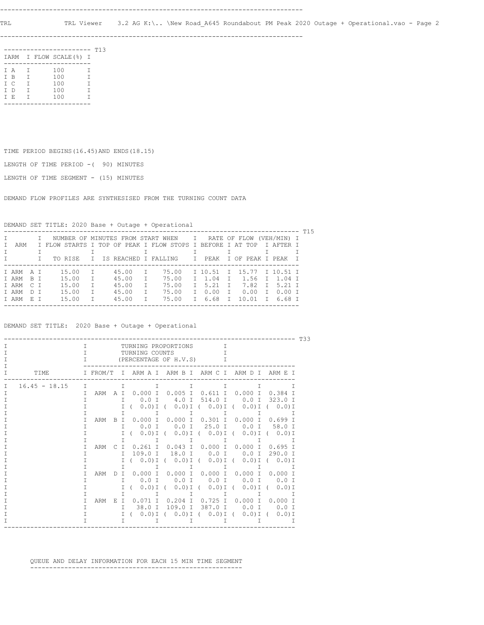--------------------------------------------------------------------------------

|     |              | -------                 |        | T13 |
|-----|--------------|-------------------------|--------|-----|
|     |              | IARM I FLOW SCALE (%) I |        |     |
|     |              |                         |        |     |
| T A | $\mathbf{I}$ | 100                     | T      |     |
| T B | Т            | 100                     | Τ      |     |
| T C | $\mathbf{T}$ | 100                     | $\top$ |     |
| T D | Т            | 100                     | Т      |     |
| T E | Т            | 100                     | т      |     |
|     |              |                         |        |     |

TIME PERIOD BEGINS(16.45)AND ENDS(18.15)

LENGTH OF TIME PERIOD -( 90) MINUTES

LENGTH OF TIME SEGMENT - (15) MINUTES

DEMAND FLOW PROFILES ARE SYNTHESISED FROM THE TURNING COUNT DATA

DEMAND SET TITLE: 2020 Base + Outage + Operational

|           |  |                                                                |              |       |   |       |    |                                |              |  |                    | T15 |
|-----------|--|----------------------------------------------------------------|--------------|-------|---|-------|----|--------------------------------|--------------|--|--------------------|-----|
|           |  | I NUMBER OF MINUTES FROM START WHEN I RATE OF FLOW (VEH/MIN) I |              |       |   |       |    |                                |              |  |                    |     |
| ARM       |  | I FLOW STARTS I TOP OF PEAK I FLOW STOPS I BEFORE I AT TOP     |              |       |   |       |    |                                |              |  | T AFTER T          |     |
|           |  |                                                                |              |       |   |       |    |                                |              |  |                    |     |
|           |  | TO RISE                                                        |              |       |   |       |    | T IS REACHED I FALLING TI PEAK |              |  | T OF PEAK I PEAK I |     |
|           |  |                                                                |              |       |   |       |    |                                |              |  |                    |     |
| TARMAT    |  | 15.00                                                          | $\top$       | 45.00 |   | 75.00 |    | T 10.51 T 15.77 T 10.51 T      |              |  |                    |     |
| TARM RT   |  | 15.00                                                          | $\top$       | 45.00 | T | 75.00 |    | T 1.04                         |              |  | T 1.56 T 1.04 T    |     |
| T ARM C T |  | 15.00                                                          | $\mathsf{T}$ | 45.00 | T | 75.00 |    | T 5.21                         | T            |  | 7.82 T 5.21 T      |     |
| TARM DT   |  | 15.00                                                          | T.           | 45.00 |   | 75.00 | T. | 0.00                           | $\mathbb{I}$ |  | $0.00$ T $0.00$ T  |     |
| TARM F.T  |  | 15.00                                                          | $\top$       | 45.00 |   | 75.00 |    | T 6.68                         | T            |  | $10.01$ T 6.68 T   |     |
|           |  |                                                                |              |       |   |       |    |                                |              |  |                    |     |

DEMAND SET TITLE: 2020 Base + Outage + Operational

| T33             |        |          |                    |                            |                                                   |           |                                               |                       |  |  |  |  |
|-----------------|--------|----------|--------------------|----------------------------|---------------------------------------------------|-----------|-----------------------------------------------|-----------------------|--|--|--|--|
|                 | I      |          |                    | TURNING PROPORTIONS        |                                                   | T         |                                               |                       |  |  |  |  |
|                 | т      |          |                    | TURNING COUNTS             |                                                   |           |                                               |                       |  |  |  |  |
|                 | Τ      |          |                    | (PERCENTAGE OF H.V.S)      |                                                   | Τ         |                                               |                       |  |  |  |  |
|                 |        |          |                    |                            |                                                   |           |                                               |                       |  |  |  |  |
| TTMF.           |        | I FROM/T |                    | TARMATARMBTARMCTARMDTARMET |                                                   |           |                                               |                       |  |  |  |  |
| $16.45 - 18.15$ | $\top$ |          | T                  | т                          | т                                                 |           | Τ                                             | Т                     |  |  |  |  |
|                 | Τ      | ARM      | A T                | 0.000I                     | $0.005$ I                                         | 0.611 I   | 0.000 I 0.384 I                               |                       |  |  |  |  |
|                 | т      |          | $\top$             | $0.0$ T                    | 4.0 T                                             | 514.0 I   |                                               | $0.0$ T 323.0 T       |  |  |  |  |
|                 |        |          | T                  | $0.0$ ) I (                |                                                   |           | $(0.0)$ I ( $(0.0)$ I ( $(0.0)$ I ( $(0.0)$ I |                       |  |  |  |  |
|                 |        |          | Τ                  | T.                         | $\top$                                            | I         | I                                             | Т                     |  |  |  |  |
|                 |        | ARM      | $\top$<br><b>B</b> |                            | $0.000$ T $0.000$ T                               | 0.301 T   | 0.000 T                                       | 0.699 T               |  |  |  |  |
|                 |        |          | T                  | $0.0$ T                    | $0.0$ I                                           | 25.0 I    | 0.0 I 58.0 I                                  |                       |  |  |  |  |
|                 |        |          | т                  | $0.0$ ) I (                |                                                   |           | $(0.0)$ I ( $(0.0)$ I ( $(0.0)$ I ( $(0.0)$ I |                       |  |  |  |  |
|                 |        |          | T                  | I                          | $\mathbb{I}$                                      | I         | I                                             | т                     |  |  |  |  |
|                 |        | ARM      | T.                 |                            | $0.261$ T $0.043$ T                               | 0.000 T   | 0.000 T                                       | $0.695$ T             |  |  |  |  |
|                 |        |          | $\top$             |                            | 109.0 I 18.0 I                                    | $0.0$ I   | 0.0 I 290.0 I                                 |                       |  |  |  |  |
|                 |        |          | $\top$             |                            | $(0.0)$ I $(0.0)$ I $(0.0)$ I $(0.0)$ I $(0.0)$ I |           |                                               |                       |  |  |  |  |
|                 |        |          | т                  | T                          | T                                                 | $\top$    | T                                             |                       |  |  |  |  |
|                 | т      | ARM      | T<br>Ð             |                            | $0.000$ I $0.000$ I                               | 0.000 I   | $0.000$ I 0.000 I                             |                       |  |  |  |  |
|                 | т      |          | $\top$             | 0.0 I                      | $0.0$ I                                           | 0.0 I     | $0.0$ T                                       | $0.0$ T               |  |  |  |  |
|                 |        |          | т                  | $0.0$ ) I (                | $0.0$ ) I (                                       | $0.0$ ) I | $\sqrt{2}$                                    | $0.0$ ) I ( $0.0$ ) I |  |  |  |  |
|                 |        |          | Τ                  | T                          | $\mathbf I$                                       | T         | I                                             | $\top$                |  |  |  |  |
|                 | т      | ARM      | E.<br>$\top$       |                            | $0.071$ I $0.204$ I                               | 0.725 I   | $0.000$ I 0.000 I                             |                       |  |  |  |  |
|                 | Τ      |          | T                  | 38.0 T                     | 109.0 I                                           | 387.0 I   | 0.0 T 0.0 T                                   |                       |  |  |  |  |
|                 | Τ      |          | $\top$             |                            | $(0.0)I (0.0)I (0.0)I (0.0)I (0.0)I (0.0)I$       |           |                                               |                       |  |  |  |  |
|                 |        |          | T                  |                            |                                                   |           |                                               |                       |  |  |  |  |
|                 |        |          |                    |                            |                                                   |           |                                               |                       |  |  |  |  |

 QUEUE AND DELAY INFORMATION FOR EACH 15 MIN TIME SEGMENT --------------------------------------------------------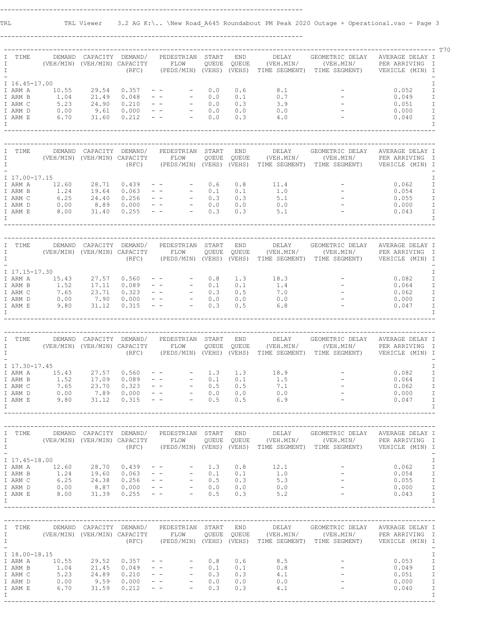--------------------------------------------------------------------------------

| I<br>$\mathbf I$<br>$\mathbb{I}$ | TIME                                                      | (VEH/MIN) (VEH/MIN) CAPACITY FLOW                   |               |       | DEMAND CAPACITY DEMAND/ PEDESTRIAN START                                                                                                                                                                                                                                                                          |     | <b>END</b>               |                                                                                                                                                                                                                                                                                                                                        | DELAY GEOMETRIC DELAY AVERAGE DELAY I<br>$\verb QUEUE"   \verb QUEUE"   \verb  (VEH.MIN/  (VEH.MIN/ )   \verb PER ARRIVING    I )$<br>(RFC) (PEDS/MIN) (VEHS) (VEHS) TIME SEGMENT) TIME SEGMENT) VEHICLE (MIN) I                                                                            | ------------------------- 770                                                                                                                               |
|----------------------------------|-----------------------------------------------------------|-----------------------------------------------------|---------------|-------|-------------------------------------------------------------------------------------------------------------------------------------------------------------------------------------------------------------------------------------------------------------------------------------------------------------------|-----|--------------------------|----------------------------------------------------------------------------------------------------------------------------------------------------------------------------------------------------------------------------------------------------------------------------------------------------------------------------------------|---------------------------------------------------------------------------------------------------------------------------------------------------------------------------------------------------------------------------------------------------------------------------------------------|-------------------------------------------------------------------------------------------------------------------------------------------------------------|
| $\mathbb{I}$                     | I ARM A<br>I ARM B<br>I ARM C<br>I ARM D<br>I ARM E       | I 16.45-17.00                                       |               |       | $10.55$ 29.54 0.357 -- -<br>$\begin{array}{cccccccc} 1.04 & 21.49 & 0.048 & - & & - & & - & 0.0 & 0.1 & 0.7 \ 5.23 & 24.90 & 0.210 & - & & - & & - & 0.0 & 0.3 & 3.9 \ 0.00 & 9.61 & 0.000 & - & & - & & - & 0.0 & 0.0 & 0.0 \ 6.70 & 31.60 & 0.212 & - & & - & & - & 0.0 & 0.3 & 4.0 \end{array}$                | 0.0 | 0.6                      | 8.1<br>$0.7$<br>3.9                                                                                                                                                                                                                                                                                                                    | $\label{eq:2.1} \begin{array}{l} \mathcal{L}_{\mathcal{A}}(\mathcal{A})=\mathcal{L}_{\mathcal{A}}(\mathcal{A})\\ \mathcal{L}_{\mathcal{A}}(\mathcal{A})=\mathcal{L}_{\mathcal{A}}(\mathcal{A})\\ \mathcal{L}_{\mathcal{A}}(\mathcal{A})=\mathcal{L}_{\mathcal{A}}(\mathcal{A}) \end{array}$ | Ι<br>0.052<br>$\mathbf I$<br>$\mathbbm{I}$<br>0.049<br>$\mathbbm{I}$<br>0.051<br>$\mathbbm{I}$<br>0.000<br>0.040<br>$\mathbbm{I}$<br>$\mathbf I$            |
| $\mathbb{I}$<br>$\mathbf{I}$     | I TIME                                                    |                                                     |               |       | DEMAND CAPACITY DEMAND/ PEDESTRIAN START                                                                                                                                                                                                                                                                          |     | <b>END</b>               | DELAY                                                                                                                                                                                                                                                                                                                                  | GEOMETRIC DELAY AVERAGE DELAY I                                                                                                                                                                                                                                                             |                                                                                                                                                             |
| $\mathbf{I}$                     | I 17.00-17.15<br>I ARM B<br>I ARM C<br>I ARM D<br>I ARM E |                                                     |               |       | $1.24$ 19.64 0.063 -- - 0.1 0.1 1.0<br>6.25 24.40 0.256 -- - 0.3 0.3 5.1<br>0.00 8.89 0.000 -- - 0.0 0.0 0.0<br>8.00 31.40 0.255 -- - 0.3 0.3 5.1                                                                                                                                                                 |     | 0.8                      | 11.4                                                                                                                                                                                                                                                                                                                                   | $\label{eq:2.1} \begin{array}{l} \mathcal{L}_{\mathcal{A}}(\mathcal{A})=\frac{1}{2}\mathcal{L}_{\mathcal{A}}\\ \mathcal{L}_{\mathcal{A}}(\mathcal{A})=\frac{1}{2}\mathcal{L}_{\mathcal{A}} \end{array}$                                                                                     | I<br>0.062<br>$\mathbf I$<br>$\mathbbm{I}$<br>0.054<br>$\mathbbm{I}$<br>0.055<br>0.000<br>$\mathbf I$<br>0.043<br>$\mathbf I$<br>$\mathsf{T}$               |
| $\mathbb{I}$<br>$\mathbf{I}$     | I TIME                                                    |                                                     |               |       | DEMAND CAPACITY DEMAND/ PEDESTRIAN START<br>(VEH/MIN) (VEH/MIN) CAPACITY FLOW                                                                                                                                                                                                                                     |     |                          | END DELAY                                                                                                                                                                                                                                                                                                                              | GEOMETRIC DELAY AVERAGE DELAY I<br>QUEUE QUEUE (VEH.MIN/ (VEH.MIN/ PER ARRIVING I<br>(RFC) (PEDS/MIN) (VEHS) (VEHS) TIME SEGMENT) TIME SEGMENT) VEHICLE (MIN) I                                                                                                                             |                                                                                                                                                             |
| $\top$                           | I 17.15-17.30                                             |                                                     |               |       | 1 ARM A 15.43 27.57 0.560 -- - 0.8 1.3 18.3<br>1 ARM B 1.52 17.11 0.089 -- - 0.1 0.1 1.4<br>1 ARM C 7.65 23.71 0.323 -- - 0.3 0.5 7.0<br>1 ARM D 0.00 7.90 0.000 -- - 0.0 0.0 0.0<br>1 ARM E 9.80 31.12 0.315 -- - 0.3 0.5 6.8                                                                                    |     |                          | $1.4$<br>$7.0$                                                                                                                                                                                                                                                                                                                         | $\mathcal{L}(\mathcal{L})$ and $\mathcal{L}(\mathcal{L})$<br>$0.0$ $0.000$ $ 0.000$ $0.047$                                                                                                                                                                                                 | I<br>$\mathbbm{I}$<br>0.082<br>0.064<br>$\mathbf I$<br>$\mathbbm{I}$<br>0.062<br>$\mathbbm{I}$<br>$\mathbf I$<br>$\mathbf I$                                |
| $\mathbb{I}$<br>$\mathbb{I}$     | I TIME                                                    | (VEH/MIN) (VEH/MIN) CAPACITY FLOW                   |               |       | DEMAND CAPACITY DEMAND/ PEDESTRIAN START                                                                                                                                                                                                                                                                          |     |                          |                                                                                                                                                                                                                                                                                                                                        | END DELAY GEOMETRIC DELAY AVERAGE DELAY I<br>QUEUE QUEUE (VEH.MIN/ (VEH.MIN/ PER ARRIVING I<br>(RFC) (PEDS/MIN) (VEHS) (VEHS) TIME SEGMENT) TIME SEGMENT) VEHICLE (MIN) I                                                                                                                   |                                                                                                                                                             |
| $\top$                           | I 17.30-17.45<br>I ARM A<br>I ARM B<br>I ARM C<br>I ARM D | 15.43 27.57<br>1.52 17.09<br>$1.52$<br>7.65<br>0.00 | 23.70<br>7.89 | 0.560 | $\mathcal{L}^{\mathcal{L}}$ and $\mathcal{L}^{\mathcal{L}}$ and $\mathcal{L}^{\mathcal{L}}$ and $\mathcal{L}^{\mathcal{L}}$<br>$\begin{array}{cccccc} 0.089 & & - & & - & & - & 0.1 \\ 0.323 & & - & & - & & - & 0.5 \\ 0.000 & & - & & & - & & - & 0.0 \end{array}$<br>I ARM E 9.80 31.12 0.315 -- - 0.5 0.5 6.9 | 1.3 | 1.3<br>0.1<br>0.5<br>0.0 | 18.9<br>1.5<br>7.1<br>0.0                                                                                                                                                                                                                                                                                                              |                                                                                                                                                                                                                                                                                             | Ι<br>0.082<br>I<br>0.064<br>I<br>$\mathbbm{I}$<br>0.062<br>$\mathbf I$<br>0.000<br>0.047<br>$\mathsf{T}$                                                    |
| $\mathbb{I}$                     | I TIME                                                    |                                                     |               |       | DEMAND CAPACITY DEMAND/ PEDESTRIAN START                                                                                                                                                                                                                                                                          |     |                          |                                                                                                                                                                                                                                                                                                                                        | END DELAY GEOMETRIC DELAY AVERAGE DELAY I<br>I (VEH/MIN) (VEH/MIN) CAPACITY FLOW QUEUE QUEUE (VEH.MIN/ (VEH.MIN/ PER ARRIVING I<br>(RFC) (PEDS/MIN) (VEHS) (VEHS) TIME SEGMENT) TIME SEGMENT) VEHICLE (MIN) I                                                                               |                                                                                                                                                             |
| I.                               | I 17.45-18.00<br>I ARM A                                  |                                                     |               |       | $12.60$ $28.70$ $0.439$ - - - 1.3                                                                                                                                                                                                                                                                                 |     |                          | $0.8$ 12.1<br>$\begin{tabular}{cccccccc} I ARM B & 1.24 & 19.60 & 0.063 & - & - & - & 0.1 & 0.1 & 1.0 & - \\ I ARM C & 6.25 & 24.38 & 0.256 & - & - & - & 0.5 & 0.3 & 5.3 & - \\ I ARM D & 0.00 & 8.87 & 0.000 & - & - & - & 0.0 & 0.0 & 0.0 & - \\ I ARM E & 8.00 & 31.39 & 0.255 & - & - & - & 0.5 & 0.3 & 5.2 & - \\ \end{tabular}$ |                                                                                                                                                                                                                                                                                             | I<br>$\mathbbm{I}$<br>$-$ 0.062<br>$\mathbbm{I}$<br>$0.054$<br>$0.055$<br>$\mathbbm{I}$<br>$\mathbbm{I}$<br>0.000<br>$\mathbbm{I}$<br>0.043<br>$\mathsf{T}$ |
|                                  |                                                           |                                                     |               |       |                                                                                                                                                                                                                                                                                                                   |     |                          |                                                                                                                                                                                                                                                                                                                                        |                                                                                                                                                                                                                                                                                             |                                                                                                                                                             |
| $\mathbb{I}$                     |                                                           |                                                     |               |       |                                                                                                                                                                                                                                                                                                                   |     |                          |                                                                                                                                                                                                                                                                                                                                        | (RFC) (PEDS/MIN) (VEHS) (VEHS) TIME SEGMENT) TIME SEGMENT) VEHICLE (MIN) I                                                                                                                                                                                                                  |                                                                                                                                                             |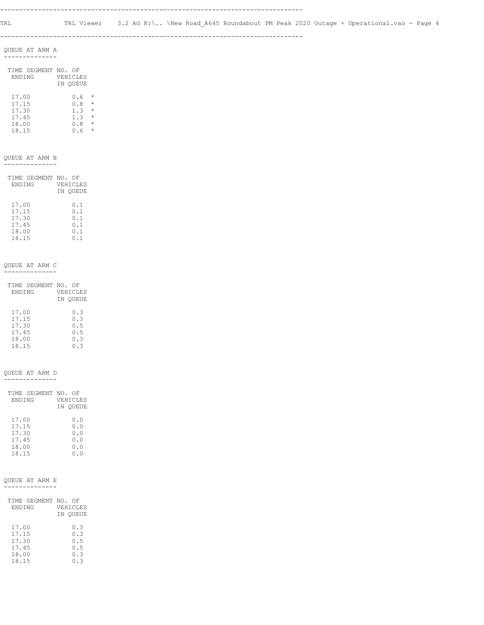--------------------------------------------------------------------------------

#### QUEUE AT ARM A --------------

| TIME SEGMENT NO. OF<br><b>ENDING</b> | VEHICLES<br>IN OUEUE |                               |
|--------------------------------------|----------------------|-------------------------------|
| 17.00<br>17.15<br>17.30              | 0.6<br>0.8<br>1.3    | $\star$<br>$\star$<br>$\star$ |
| 17.45<br>18.00                       | 1.3<br>0. R          | $\star$                       |
|                                      |                      |                               |

18.15 0.6 \*

#### QUEUE AT ARM B

--------------

| TIME SEGMENT NO. OF | VEHICLES |
|---------------------|----------|
| <b>ENDING</b>       | IN OUEUE |
| 17.00               | 0.1      |
| 17.15               | 0.1      |
| 17.30               | 0.1      |
| 17.45               | 0.1      |
| 18.00               | 0.1      |
| 18.15               | N.I      |

#### QUEUE AT ARM C --------------

| TIME SEGMENT NO. OF | VEHICLES |
|---------------------|----------|
| <b>ENDING</b>       | IN OUEUE |
| 17.00               | 0.3      |
| 17.15               | 0.3      |
| 17.30               | 0.5      |
| 17.45               | 0.5      |
| 18.00               | 0.3      |
| 18.15               | 0.3      |

#### QUEUE AT ARM D

--------------

| TIME SEGMENT NO. OF |          |
|---------------------|----------|
| <b>ENDING</b>       | VEHICLES |
|                     | IN OUEUE |
|                     |          |
| 17.00               | 0.0      |
| 17.15               | 0.0      |
| 17.30               | 0.0      |
| 17.45               | 0.0      |
| 18.00               | 0.0      |
| 18.15               | 0. O     |
|                     |          |

#### QUEUE AT ARM E --------------

| TIME SEGMENT NO.<br><b>ENDING</b> | ΩF<br>VEHICLES<br>IN OUEUE |
|-----------------------------------|----------------------------|
| 17.00                             | 0.3                        |
| 17.15                             | 0.3                        |
| 17.30                             | 0.5                        |
| 17.45                             | 0.5                        |
| 18.00                             | 0.3                        |
| 18.15                             | ก จ                        |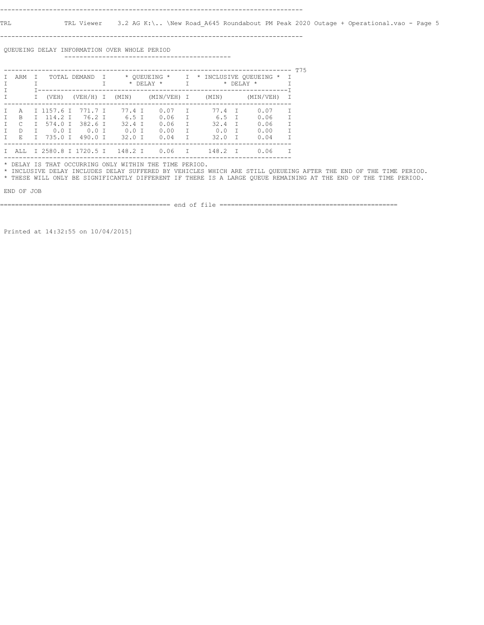TRL TRL Viewer 3.2 AG K:\.. \New Road\_A645 Roundabout PM Peak 2020 Outage + Operational.vao - Page 5

--------------------------------------------------------------------------------

 QUEUEING DELAY INFORMATION OVER WHOLE PERIOD --------------------------------------------

| ARM          |   |               | TOTAL DEMAND        |  | * OUEUEING *<br>$\top$<br>$\star$ DELAY $\star$<br>т |  |             | $\mathbb T$<br>$\top$ |       | * INCLUSIVE QUEUEING *<br>* DELAY<br>$\star$ | $\top$    | T75    |  |
|--------------|---|---------------|---------------------|--|------------------------------------------------------|--|-------------|-----------------------|-------|----------------------------------------------|-----------|--------|--|
|              |   | (VEH)         | $(VEH/H)$ I         |  | (MIN)                                                |  | (MIN/VEH) I |                       | (MIN) |                                              | (MIN/VEH) |        |  |
| A            |   | I 1157.6 I    | 771.7 T             |  | 77.4 T                                               |  | 0.07        | T                     | 77.4  | T                                            | 0.07      | $\top$ |  |
| <sub>R</sub> |   | $T = 114.2$ T | 76.2 T              |  | 6.5 T                                                |  | 0.06        | $\top$                | 6.5   | T                                            | 0.06      |        |  |
| C            | T | 574.0 I       | 382.6 T             |  | $32.4$ T                                             |  | 0.06        | T                     | 32.4  | T                                            | 0.06      | $\top$ |  |
| <sup>D</sup> |   | $0.0$ T       | $0.0$ T             |  | $0.0$ T                                              |  | 0.00        | T                     | 0.0   | T                                            | 0.00      | T      |  |
| E.           |   | 735.0 T       | 490.0 T             |  | $32.0$ T                                             |  | 0.04        | T.                    | 32.0  | $\top$                                       | 0.04      | T      |  |
| AT.T.        |   |               | I 2580.8 I 1720.5 I |  | 148.2 T                                              |  | 0.06        | $\mathbb{I}$          | 148.2 | T                                            | 0.06      |        |  |

\* DELAY IS THAT OCCURRING ONLY WITHIN THE TIME PERIOD.

 \* INCLUSIVE DELAY INCLUDES DELAY SUFFERED BY VEHICLES WHICH ARE STILL QUEUEING AFTER THE END OF THE TIME PERIOD. \* THESE WILL ONLY BE SIGNIFICANTLY DIFFERENT IF THERE IS A LARGE QUEUE REMAINING AT THE END OF THE TIME PERIOD.

END OF JOB

============================================= end of file ===============================================

Printed at 14:32:55 on 10/04/2015]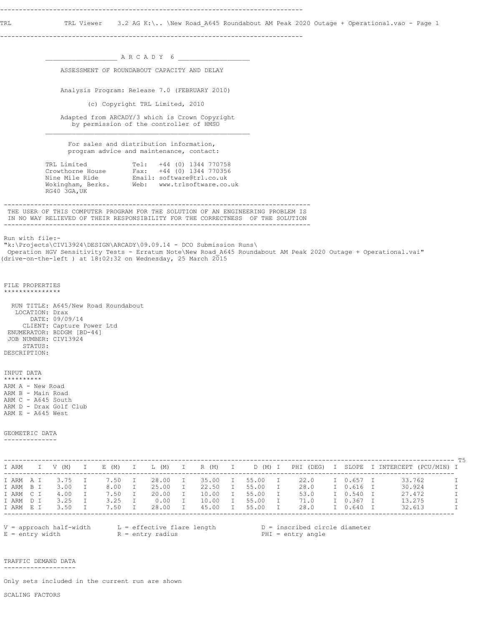TRL TRL Viewer 3.2 AG K:\.. \New Road\_A645 Roundabout AM Peak 2020 Outage + Operational.vao - Page 1

--------------------------------------------------------------------------------

 $\_$  A R C A D Y 6  $\_$  ASSESSMENT OF ROUNDABOUT CAPACITY AND DELAY Analysis Program: Release 7.0 (FEBRUARY 2010) (c) Copyright TRL Limited, 2010 Adapted from ARCADY/3 which is Crown Copyright by permission of the controller of HMSO  $\mathcal{L}_\text{max}$  For sales and distribution information, program advice and maintenance, contact: TRL Limited Tel: +44 (0) 1344 770758 Crowthorne House Fax: +44 (0) 1344 770356 Nine Mile Ride Email: software@trl.co.uk Wokingham, Berks. Web: www.trlsoftware.co.uk RG40 3GA,UK --------------------------------------------------------------------------------- THE USER OF THIS COMPUTER PROGRAM FOR THE SOLUTION OF AN ENGINEERING PROBLEM IS IN NO WAY RELIEVED OF THEIR RESPONSIBILITY FOR THE CORRECTNESS OF THE SOLUTION --------------------------------------------------------------------------------- Run with file:- "k:\Projects\CIV13924\DESIGN\ARCADY\09.09.14 - DCO Submission Runs\ Operation HGV Sensitivity Tests - Erratum Note\New Road\_A645 Roundabout AM Peak 2020 Outage + Operational.vai" (drive-on-the-left ) at  $18:02:32$  on Wednesday, 25 March 2015 FILE PROPERTIES \*\*\*\*\*\*\*\*\*\*\*\*\*\*\* RUN TITLE: A645/New Road Roundabout LOCATION: Drax DATE: 09/09/14 CLIENT: Capture Power Ltd ENUMERATOR: BDDGM [BD-44] JOB NUMBER: CIV13924 STATUS: DESCRIPTION: INPUT DATA \*\*\*\*\*\*\*\*\*\* ARM A - New Road ARM B - Main Road ARM C - A645 South ARM D - Drax Golf Club ARM  $E - A645$  West GEOMETRIC DATA -------------- ----------------------------------------------------------------------------------------------------------------------- T5 I ARM I V (M) I E (M) I L (M) I R (M) I D (M) I PHI (DEG) I SLOPE I INTERCEPT (PCU/MIN) I ----------------------------------------------------------------------------------------------------------------------- I ARM A I 3.75 I 7.50 I 28.00 I 35.00 I 55.00 I 22.0 I 0.657 I 33.762 I I ARM B I 3.00 I 8.00 I 25.00 I 22.50 I 55.00 I 28.0 I 0.616 I 30.924 I I ARM C I 4.00 I 7.50 I 20.00 I 10.00 I 55.00 I 53.0 I 0.540 I 27.472 I I ARM D I 3.25 I 3.25 I 0.00 I 10.00 I 55.00 I 71.0 I 0.367 I 13.275 I I ARM E I 3.50 I 7.50 I 28.00 I 45.00 I 55.00 I 28.0 I 0.640 I 32.613 I ----------------------------------------------------------------------------------------------------------------------- V = approach half-width L = effective flare length D = inscribed circle diameter E = entry width  $R = entry$  radius PHI = entry angle

 TRAFFIC DEMAND DATA -------------------

Only sets included in the current run are shown

SCALING FACTORS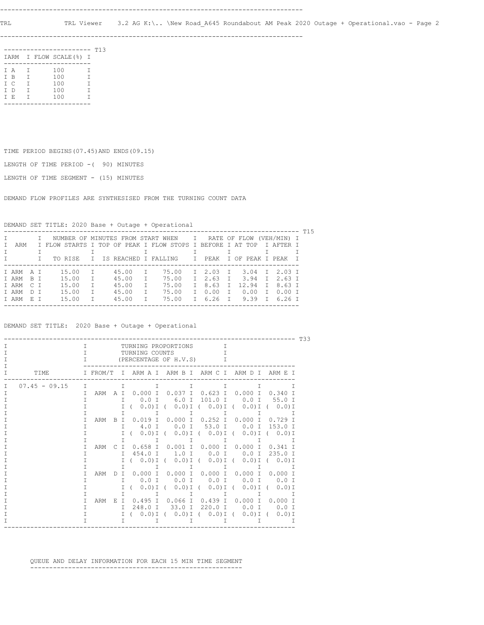--------------------------------------------------------------------------------

|     |              | -------                 |        | T13 |
|-----|--------------|-------------------------|--------|-----|
|     |              | IARM I FLOW SCALE (%) I |        |     |
|     |              |                         |        |     |
| T A | $\mathbf{I}$ | 100                     | T      |     |
| T B | Т            | 100                     | Τ      |     |
| T C | $\mathbf{T}$ | 100                     | $\top$ |     |
| T D | Т            | 100                     | Т      |     |
| T E | Т            | 100                     | т      |     |
|     |              |                         |        |     |

TIME PERIOD BEGINS(07.45)AND ENDS(09.15)

LENGTH OF TIME PERIOD -( 90) MINUTES

LENGTH OF TIME SEGMENT - (15) MINUTES

DEMAND FLOW PROFILES ARE SYNTHESISED FROM THE TURNING COUNT DATA

DEMAND SET TITLE: 2020 Base + Outage + Operational

|           |     |  |                                                            |              |       |   |       |              |                                |              |      |              | -------------- T15 |  |
|-----------|-----|--|------------------------------------------------------------|--------------|-------|---|-------|--------------|--------------------------------|--------------|------|--------------|--------------------|--|
|           |     |  | I NUMBER OF MINUTES FROM START WHEN I RATE OF FLOW         |              |       |   |       |              |                                |              |      |              | (VEH/MIN) I        |  |
| ARM       |     |  | I FLOW STARTS I TOP OF PEAK I FLOW STOPS I BEFORE I AT TOP |              |       |   |       |              |                                |              |      |              | T AFTER T          |  |
|           |     |  |                                                            |              |       |   |       |              |                                |              |      |              |                    |  |
|           |     |  | TO RISE                                                    |              |       |   |       |              | T IS REACHED I FALLING TI PEAK |              |      |              | T OF PEAK T PEAK T |  |
|           |     |  |                                                            |              |       |   |       |              |                                |              |      |              |                    |  |
| TARMAT    |     |  | 15.00                                                      | $\top$       | 45.00 |   | 75.00 |              | T 2.03 T 3.04 T 2.03 T         |              |      |              |                    |  |
| T ARM R T |     |  | 15.00                                                      | T            | 45.00 |   | 75.00 |              | 2.63 T 3.94 T 2.63 T           |              |      |              |                    |  |
| T ARM C T |     |  | 15.00                                                      | $\top$       | 45.00 | T | 75.00 | $\mathsf{T}$ | 8.63                           | $\mathbb{I}$ |      |              | 12.94 T 8.63 T     |  |
| T ARM     | DT. |  | 15.00                                                      |              | 45.00 |   | 75.00 | T            | 0.00                           | T            | 0.00 | $\mathbb{I}$ | 0.00 T             |  |
| T ARM     | ET. |  | 15.00                                                      | $\mathsf{T}$ | 45.00 |   | 75.00 |              | T 6.26 T                       |              |      |              | 9.39 T 6.26 T      |  |
|           |     |  |                                                            |              |       |   |       |              |                                |              |      |              |                    |  |

DEMAND SET TITLE: 2020 Base + Outage + Operational

| T33 |                 |        |     |               |                                                    |                                                   |           |                                               |                       |  |  |  |  |
|-----|-----------------|--------|-----|---------------|----------------------------------------------------|---------------------------------------------------|-----------|-----------------------------------------------|-----------------------|--|--|--|--|
|     |                 | T.     |     |               | TURNING PROPORTIONS                                |                                                   | T         |                                               |                       |  |  |  |  |
|     |                 | т      |     |               | TURNING COUNTS                                     |                                                   |           |                                               |                       |  |  |  |  |
|     |                 | Τ      |     |               | (PERCENTAGE OF H.V.S)                              |                                                   | Τ         |                                               |                       |  |  |  |  |
|     |                 |        |     |               |                                                    |                                                   |           |                                               |                       |  |  |  |  |
|     | TIME            |        |     |               | I FROM/T I ARM A I ARM B I ARM C I ARM D I ARM E I |                                                   |           |                                               |                       |  |  |  |  |
|     | $07.45 - 09.15$ | $\top$ |     | T             | т                                                  | Τ                                                 |           | т                                             | $\top$                |  |  |  |  |
|     |                 | Τ      | ARM | A T           | 0.000 I                                            | $0.037$ I                                         | 0.623 I   | 0.000 I 0.340 I                               |                       |  |  |  |  |
|     |                 | т      |     | $\top$        | $0.0$ T                                            | 6.0 T                                             | 101.0 I   | $0.0$ T                                       | 55.0 T                |  |  |  |  |
|     |                 |        |     | Τ             | $0.0$ ) I (                                        |                                                   |           | $(0.0)$ I ( $(0.0)$ I ( $(0.0)$ I ( $(0.0)$ I |                       |  |  |  |  |
|     |                 |        |     | т             | T.                                                 | I                                                 | I         | I                                             | Т                     |  |  |  |  |
|     |                 |        | ARM | T<br><b>B</b> |                                                    | $0.019$ T $0.000$ T                               | 0.252 T   | 0.000 T                                       | $0.729$ T             |  |  |  |  |
|     |                 |        |     | T             | 4.0 T                                              | $0.0$ I                                           | 53.0 I    | 0.0 I 153.0 I                                 |                       |  |  |  |  |
|     |                 |        |     | т             | $0.0$ ) I (                                        |                                                   |           | $(0.0)$ I ( $(0.0)$ I ( $(0.0)$ I ( $(0.0)$ I |                       |  |  |  |  |
|     |                 |        |     | $\top$        | I                                                  | $\mathbb{I}$                                      | I         | I                                             | Т                     |  |  |  |  |
|     |                 |        | ARM | T.            | 0.658 T                                            | $0.001$ T                                         | $0.000$ I | 0.000 T                                       | $0.341$ T             |  |  |  |  |
|     |                 |        |     | $\top$        | 454.0 T                                            | $1.0$ T                                           | 0.0 I     | 0.0 I 235.0 I                                 |                       |  |  |  |  |
|     |                 |        |     | $\top$        |                                                    | $(0.0)$ I $(0.0)$ I $(0.0)$ I $(0.0)$ I $(0.0)$ I |           |                                               |                       |  |  |  |  |
|     |                 |        |     | Τ             | T                                                  | $\top$                                            | $\top$    | $\top$                                        |                       |  |  |  |  |
|     |                 | т      | ARM | T<br>Ð        |                                                    | $0.000$ I $0.000$ I                               |           | 0.000 I 0.000 I 0.000 I                       |                       |  |  |  |  |
|     |                 | т      |     | $\top$        | $0.0$ I                                            | $0.0$ I                                           | $0.0$ I   | $0.0$ T                                       | $0.0$ T               |  |  |  |  |
|     |                 |        |     | т             | $0.0$ ) I (                                        | $0.0$ ) I (                                       | $0.0)$ I  | $\sqrt{2}$                                    | $0.0$ ) I ( $0.0$ ) I |  |  |  |  |
|     |                 |        |     | Τ             | T                                                  | $\mathbb{I}$                                      | $\top$    | $\mathbb{I}$                                  | T                     |  |  |  |  |
|     |                 | т      | ARM | E.<br>T       |                                                    | 0.495 I 0.066 I 0.439 I 0.000 I 0.000 I           |           |                                               |                       |  |  |  |  |
|     |                 | Τ      |     | T.            | $248.0$ T                                          | $33.0$ I                                          | 220.0 I   | 0.0 T 0.0 T                                   |                       |  |  |  |  |
|     |                 | т      |     | $\top$        |                                                    | $(0.0)I (0.0)I (0.0)I (0.0)I (0.0)I (0.0)I$       |           |                                               |                       |  |  |  |  |
|     |                 |        |     | т             |                                                    |                                                   |           |                                               |                       |  |  |  |  |
|     |                 |        |     |               |                                                    |                                                   |           |                                               |                       |  |  |  |  |

 QUEUE AND DELAY INFORMATION FOR EACH 15 MIN TIME SEGMENT --------------------------------------------------------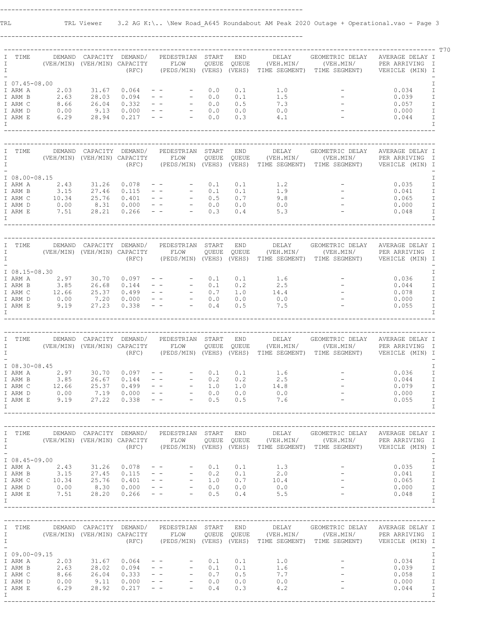--------------------------------------------------------------------------------

| Ι<br>$\mathbf I$<br>$\mathbb{I}$   | TIME          | (VEH/MIN) (VEH/MIN) CAPACITY FLOW                                                                                                                                                                                              |                         |       | DEMAND CAPACITY DEMAND/ PEDESTRIAN START                                                                                                 |     | END        | DELAY                                                                                                                                                                             | GEOMETRIC DELAY AVERAGE DELAY I<br>QUEUE QUEUE (VEH.MIN/ (VEH.MIN/ PER ARRIVING I<br>(RFC) (PEDS/MIN) (VEHS) (VEHS) TIME SEGMENT) TIME SEGMENT) VEHICLE (MIN) I  |                                       |
|------------------------------------|---------------|--------------------------------------------------------------------------------------------------------------------------------------------------------------------------------------------------------------------------------|-------------------------|-------|------------------------------------------------------------------------------------------------------------------------------------------|-----|------------|-----------------------------------------------------------------------------------------------------------------------------------------------------------------------------------|------------------------------------------------------------------------------------------------------------------------------------------------------------------|---------------------------------------|
|                                    |               |                                                                                                                                                                                                                                |                         |       |                                                                                                                                          |     |            |                                                                                                                                                                                   |                                                                                                                                                                  |                                       |
|                                    |               | I 07.45-08.00                                                                                                                                                                                                                  |                         |       |                                                                                                                                          |     |            |                                                                                                                                                                                   |                                                                                                                                                                  | I                                     |
|                                    |               | I ARM A 2.03 31.67 0.064 --                                                                                                                                                                                                    |                         |       |                                                                                                                                          | 0.0 | 0.1        | 1.0                                                                                                                                                                               |                                                                                                                                                                  | 0.034<br>I                            |
|                                    | I ARM B       | $2.63$ $28.03$                                                                                                                                                                                                                 |                         |       | $0.094$ - - - 0.0                                                                                                                        |     | 0.1        | 1.5                                                                                                                                                                               | $\label{eq:2.1} \frac{1}{\sqrt{2}}\left(\frac{1}{\sqrt{2}}\right)^{2}=\frac{1}{2}\left(\frac{1}{\sqrt{2}}\right)^{2}$                                            | $\mathbbm{I}$<br>0.039                |
|                                    | I ARM C       |                                                                                                                                                                                                                                |                         |       |                                                                                                                                          |     |            |                                                                                                                                                                                   |                                                                                                                                                                  | $\mathbbm{I}$<br>0.057                |
|                                    | I ARM D       |                                                                                                                                                                                                                                |                         |       |                                                                                                                                          |     |            | $\begin{array}{ccc} & & \cdot & \cdot & \cdot \\ & & & 0 & 0 \\ & & & 4 & 1 \end{array}$                                                                                          |                                                                                                                                                                  | $\mathbbm{I}$<br>0.000                |
|                                    | I ARM E       |                                                                                                                                                                                                                                |                         |       |                                                                                                                                          |     |            |                                                                                                                                                                                   |                                                                                                                                                                  | $\mathbbm{I}$<br>0.044                |
| I                                  |               |                                                                                                                                                                                                                                |                         |       |                                                                                                                                          |     |            |                                                                                                                                                                                   |                                                                                                                                                                  | $\mathbf I$                           |
|                                    |               |                                                                                                                                                                                                                                |                         |       |                                                                                                                                          |     |            |                                                                                                                                                                                   |                                                                                                                                                                  |                                       |
| I                                  | TIME          |                                                                                                                                                                                                                                | DEMAND CAPACITY DEMAND/ |       | PEDESTRIAN START                                                                                                                         |     | <b>END</b> | DELAY                                                                                                                                                                             | GEOMETRIC DELAY AVERAGE DELAY I                                                                                                                                  |                                       |
| $\mathbf I$                        |               | (VEH/MIN) (VEH/MIN) CAPACITY FLOW                                                                                                                                                                                              |                         |       |                                                                                                                                          |     |            |                                                                                                                                                                                   | $\verb QUEUE  QUEUE   (VEH. MIN/    (VEH. MIN/    PER ARRIVING  I\\$                                                                                             |                                       |
| $\mathbf{I}$                       |               |                                                                                                                                                                                                                                |                         |       |                                                                                                                                          |     |            |                                                                                                                                                                                   | (RFC) (PEDS/MIN) (VEHS) (VEHS) TIME SEGMENT) TIME SEGMENT) VEHICLE (MIN) I                                                                                       |                                       |
|                                    |               |                                                                                                                                                                                                                                |                         |       |                                                                                                                                          |     |            |                                                                                                                                                                                   |                                                                                                                                                                  |                                       |
|                                    |               | I 08.00-08.15                                                                                                                                                                                                                  |                         |       |                                                                                                                                          |     |            |                                                                                                                                                                                   |                                                                                                                                                                  | I                                     |
|                                    |               | I ARM A 2.43 31.26 0.078 -- -                                                                                                                                                                                                  |                         |       |                                                                                                                                          | 0.1 | 0.1        | 1.2                                                                                                                                                                               |                                                                                                                                                                  | 0.035<br>$\mathbf I$                  |
|                                    | I ARM B       |                                                                                                                                                                                                                                |                         |       |                                                                                                                                          |     |            |                                                                                                                                                                                   |                                                                                                                                                                  | $\mathbbm{I}$<br>0.041                |
|                                    | I ARM C       | $3.15$ 27.46 0.115 - - 0.1 0.1 1.9<br>$10.34$ 25.76 0.401 - - 0.5 0.7 9.8<br>0.00 8.31 0.000 - - 0.0 0.0 0.0<br>7.51 28.21 0.266 - - 0.3 0.4 5.3                                                                               |                         |       |                                                                                                                                          |     |            |                                                                                                                                                                                   |                                                                                                                                                                  | $\mathbbm{I}$<br>0.065                |
|                                    | I ARM D       |                                                                                                                                                                                                                                |                         |       |                                                                                                                                          |     |            |                                                                                                                                                                                   |                                                                                                                                                                  | $\mathbbm{I}$<br>0.000                |
|                                    | I ARM E       |                                                                                                                                                                                                                                |                         |       |                                                                                                                                          |     |            |                                                                                                                                                                                   |                                                                                                                                                                  | 0.048<br>$\mathbbm{I}$                |
| $\mathbb{I}$                       |               |                                                                                                                                                                                                                                |                         |       |                                                                                                                                          |     |            |                                                                                                                                                                                   |                                                                                                                                                                  | I                                     |
|                                    | I TIME        |                                                                                                                                                                                                                                |                         |       | DEMAND CAPACITY DEMAND/ PEDESTRIAN START                                                                                                 |     | <b>END</b> | DELAY                                                                                                                                                                             | GEOMETRIC DELAY AVERAGE DELAY I                                                                                                                                  |                                       |
| $\mathbb{I}$                       |               | (VEH/MIN) (VEH/MIN) CAPACITY FLOW                                                                                                                                                                                              |                         |       |                                                                                                                                          |     |            |                                                                                                                                                                                   |                                                                                                                                                                  |                                       |
| $\mathbb{I}$                       |               |                                                                                                                                                                                                                                |                         |       |                                                                                                                                          |     |            |                                                                                                                                                                                   | CAPACITY FLOW QUEUE QUEUE (VEH.MIN/ (VEH.MIN/ PERARRIVING I<br>(RFC) (PEDS/MIN)(VEHS)(VEHS) TIME-SEGMENT) TIME-SEGMENT) VEHICLE(MIN)I                            |                                       |
|                                    |               |                                                                                                                                                                                                                                |                         |       |                                                                                                                                          |     |            |                                                                                                                                                                                   |                                                                                                                                                                  |                                       |
|                                    |               | I 08.15-08.30                                                                                                                                                                                                                  |                         |       |                                                                                                                                          |     |            |                                                                                                                                                                                   |                                                                                                                                                                  | I.                                    |
|                                    |               |                                                                                                                                                                                                                                |                         |       |                                                                                                                                          |     |            |                                                                                                                                                                                   |                                                                                                                                                                  | $\mathbbm{I}$<br>0.036                |
|                                    |               | 1 ARM A 2.97 30.70 0.097 -- - 0.1 0.1 1.6<br>1 ARM B 3.85 26.68 0.144 -- - 0.1 0.2 2.5<br>1 ARM C 12.66 25.37 0.499 -- - 0.7 1.0 14.4<br>1 ARM D 0.00 7.20 0.000 -- - 0.0 0.0 0.0<br>1 ARM E 9.19 27.23 0.338 -- - 0.4 0.5 7.5 |                         |       |                                                                                                                                          |     |            | $0.2$ $2.5$<br>$1.0$ $14.4$                                                                                                                                                       |                                                                                                                                                                  | $\mathbbm{I}$<br>0.044                |
|                                    |               |                                                                                                                                                                                                                                |                         |       |                                                                                                                                          |     |            |                                                                                                                                                                                   |                                                                                                                                                                  | $\mathbbm{I}$<br>0.078                |
|                                    |               |                                                                                                                                                                                                                                |                         |       |                                                                                                                                          |     |            |                                                                                                                                                                                   |                                                                                                                                                                  | 0.000<br>$\mathbf I$                  |
|                                    |               |                                                                                                                                                                                                                                |                         |       |                                                                                                                                          |     |            |                                                                                                                                                                                   |                                                                                                                                                                  | 0.055<br>$\mathbb{I}$                 |
| I.                                 |               |                                                                                                                                                                                                                                |                         |       |                                                                                                                                          |     |            |                                                                                                                                                                                   |                                                                                                                                                                  | I                                     |
|                                    |               |                                                                                                                                                                                                                                |                         |       |                                                                                                                                          |     |            |                                                                                                                                                                                   |                                                                                                                                                                  |                                       |
|                                    | I TIME        |                                                                                                                                                                                                                                |                         |       | DEMAND CAPACITY DEMAND/ PEDESTRIAN START                                                                                                 |     | <b>END</b> | DELAY                                                                                                                                                                             | GEOMETRIC DELAY AVERAGE DELAY I                                                                                                                                  |                                       |
| $\mathbb{I}$                       |               | (VEH/MIN) (VEH/MIN) CAPACITY FLOW                                                                                                                                                                                              |                         |       |                                                                                                                                          |     |            |                                                                                                                                                                                   | QUEUE QUEUE (VEH.MIN/ (VEH.MIN/ PER ARRIVING I                                                                                                                   |                                       |
| $\mathbb{I}$                       |               |                                                                                                                                                                                                                                |                         |       |                                                                                                                                          |     |            |                                                                                                                                                                                   | (RFC) (PEDS/MIN) (VEHS) (VEHS) TIME SEGMENT) TIME SEGMENT) VEHICLE (MIN) I                                                                                       |                                       |
|                                    |               |                                                                                                                                                                                                                                |                         |       |                                                                                                                                          |     |            |                                                                                                                                                                                   |                                                                                                                                                                  |                                       |
|                                    |               |                                                                                                                                                                                                                                |                         |       |                                                                                                                                          |     |            |                                                                                                                                                                                   |                                                                                                                                                                  |                                       |
|                                    | I 08.30-08.45 |                                                                                                                                                                                                                                |                         |       |                                                                                                                                          |     |            |                                                                                                                                                                                   |                                                                                                                                                                  | $\mathbbm{I}$                         |
|                                    |               |                                                                                                                                                                                                                                |                         | 0.097 |                                                                                                                                          | 0.1 | 0.1        | 1.6                                                                                                                                                                               |                                                                                                                                                                  | $\mathbbm{I}$<br>0.036                |
|                                    |               |                                                                                                                                                                                                                                |                         |       |                                                                                                                                          |     | 0.2        |                                                                                                                                                                                   |                                                                                                                                                                  | 0.044<br>I                            |
|                                    |               | 1 ARM A 2.97 30.70<br>1 ARM B 3.85 26.67<br>1 ARM C 12.66 25.37                                                                                                                                                                |                         |       |                                                                                                                                          |     | 1.0        | $2.5$<br>14.8                                                                                                                                                                     |                                                                                                                                                                  | $\mathbbm{I}$<br>0.079                |
|                                    | I ARM D       | 0.00                                                                                                                                                                                                                           | 7.19                    |       | $\begin{array}{cccccc} 0.144 & & - & - & & - & & 0.2 \\ 0.499 & & - & - & & - & & 1.0 \\ 0.000 & & - & - & & & - & & 0.0 \\ \end{array}$ |     | 0.0        | 0.0                                                                                                                                                                               | $\label{eq:2.1} \begin{array}{c} \mathcal{L}_{\text{max}}(\mathcal{L}_{\text{max}}) \\ \mathcal{L}_{\text{max}}(\mathcal{L}_{\text{max}}) \end{array}$           | $\top$<br>0.000                       |
|                                    | I ARM E       | 9.19                                                                                                                                                                                                                           | 27.22                   |       | $0.338 - - - - 0.5$                                                                                                                      |     |            | $0.5$ 7.6                                                                                                                                                                         |                                                                                                                                                                  | 0.055<br>Ι<br>$\mathsf{T}$            |
| T                                  |               |                                                                                                                                                                                                                                |                         |       |                                                                                                                                          |     |            |                                                                                                                                                                                   |                                                                                                                                                                  |                                       |
|                                    | I TIME        |                                                                                                                                                                                                                                |                         |       | DEMAND CAPACITY DEMAND/ PEDESTRIAN START                                                                                                 |     |            | END DELAY                                                                                                                                                                         | GEOMETRIC DELAY AVERAGE DELAY I                                                                                                                                  |                                       |
|                                    |               | I (VEH/MIN) (VEH/MIN) CAPACITY FLOW                                                                                                                                                                                            |                         |       |                                                                                                                                          |     |            |                                                                                                                                                                                   | QUEUE QUEUE (VEH.MIN/ (VEH.MIN/ PER ARRIVING I                                                                                                                   |                                       |
|                                    |               |                                                                                                                                                                                                                                |                         |       |                                                                                                                                          |     |            |                                                                                                                                                                                   | (RFC) (PEDS/MIN) (VEHS) (VEHS) TIME SEGMENT) TIME SEGMENT) VEHICLE (MIN) I                                                                                       |                                       |
|                                    |               |                                                                                                                                                                                                                                |                         |       |                                                                                                                                          |     |            |                                                                                                                                                                                   |                                                                                                                                                                  |                                       |
|                                    | I 08.45-09.00 |                                                                                                                                                                                                                                |                         |       |                                                                                                                                          |     |            |                                                                                                                                                                                   |                                                                                                                                                                  | Ι                                     |
|                                    |               |                                                                                                                                                                                                                                |                         |       |                                                                                                                                          |     |            | $0.1$ 1.3                                                                                                                                                                         |                                                                                                                                                                  | 0.035<br>I                            |
|                                    |               |                                                                                                                                                                                                                                |                         |       |                                                                                                                                          |     |            |                                                                                                                                                                                   |                                                                                                                                                                  | $\mathbbm{I}$<br>0.041                |
|                                    |               |                                                                                                                                                                                                                                |                         |       |                                                                                                                                          |     |            |                                                                                                                                                                                   |                                                                                                                                                                  | 0.065<br>$\mathbbm{I}$                |
|                                    |               |                                                                                                                                                                                                                                |                         |       |                                                                                                                                          |     |            |                                                                                                                                                                                   | $\mathcal{L}^{\text{max}}_{\text{max}}$                                                                                                                          | $\mathbbm{I}$<br>0.000                |
|                                    |               |                                                                                                                                                                                                                                |                         |       |                                                                                                                                          |     |            |                                                                                                                                                                                   |                                                                                                                                                                  | 0.048<br>$\mathbbm{I}$                |
|                                    |               |                                                                                                                                                                                                                                |                         |       |                                                                                                                                          |     |            | 1 ARM B 3.15 27.45 0.115 -- - 0.2 0.1 2.0<br>1 ARM C 10.34 25.76 0.401 -- - 1.0 0.7 10.4<br>1 ARM D 0.00 8.30 0.000 -- - 0.0 0.0 0.0<br>1 ARM E 7.51 28.20 0.266 -- - 0.5 0.4 5.5 |                                                                                                                                                                  | $\mathsf{T}$                          |
|                                    |               |                                                                                                                                                                                                                                |                         |       |                                                                                                                                          |     |            |                                                                                                                                                                                   |                                                                                                                                                                  |                                       |
|                                    | I TIME        |                                                                                                                                                                                                                                |                         |       | DEMAND CAPACITY DEMAND/ PEDESTRIAN START                                                                                                 |     |            |                                                                                                                                                                                   | END DELAY GEOMETRIC DELAY AVERAGE DELAY I                                                                                                                        |                                       |
|                                    |               |                                                                                                                                                                                                                                |                         |       |                                                                                                                                          |     |            |                                                                                                                                                                                   | I (VEH/MIN) (VEH/MIN) CAPACITY FLOW QUEUE QUEUE (VEH.MIN/ (VEH.MIN/ PER ARRIVING I<br>(RFC) (PEDS/MIN) (VEHS) (VEHS) TIME SEGMENT) TIME SEGMENT) VEHICLE (MIN) I |                                       |
|                                    | I 09.00-09.15 |                                                                                                                                                                                                                                |                         |       |                                                                                                                                          |     |            |                                                                                                                                                                                   |                                                                                                                                                                  | $\mathbbm{I}$                         |
|                                    | I ARM A       | 2.03 31.67                                                                                                                                                                                                                     |                         |       | $0.064$ - - - 0.1                                                                                                                        |     | 0.1        | 1.0                                                                                                                                                                               |                                                                                                                                                                  | $\mathbbm{I}$<br>0.034                |
|                                    |               |                                                                                                                                                                                                                                |                         |       |                                                                                                                                          |     |            |                                                                                                                                                                                   |                                                                                                                                                                  | $\mathbbm{I}$<br>0.039                |
|                                    |               |                                                                                                                                                                                                                                |                         |       |                                                                                                                                          |     |            |                                                                                                                                                                                   |                                                                                                                                                                  | $\mathbbm{I}$<br>0.058                |
|                                    |               |                                                                                                                                                                                                                                |                         |       |                                                                                                                                          |     |            |                                                                                                                                                                                   |                                                                                                                                                                  | $\mathbbm{I}$<br>0.000                |
| $\mathbb{I}$<br>T.<br>$\mathbb{I}$ |               | TARM B 2.63 28.02 0.094<br>TARM C 8.66 26.04 0.333<br>TARM D 0.00 9.11 0.000<br>TARM E 6.29 28.92 0.217                                                                                                                        |                         |       |                                                                                                                                          |     |            | $0.094$ - - - $0.1$ 0.1 1.6<br>$0.333$ - - - 0.7 0.5 7.7<br>$0.000$ - - 0.0 0.0 0.0<br>$0.217$ - - 0.4 0.3 4.2                                                                    |                                                                                                                                                                  | $\mathbbm{I}$<br>0.044<br>$\mathbf I$ |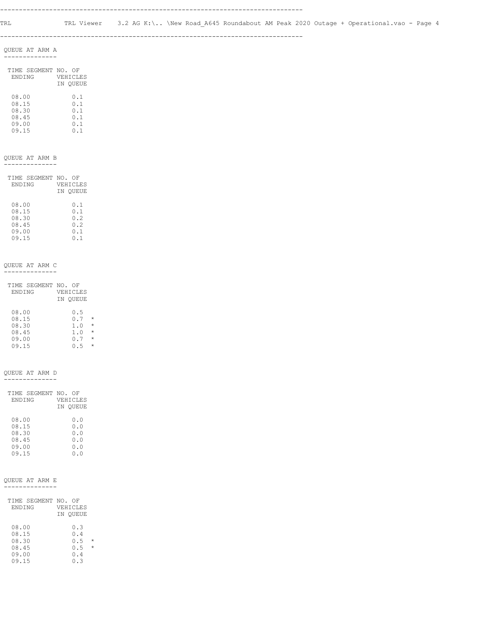--------------------------------------------------------------------------------

#### QUEUE AT ARM A --------------

| TIME SEGMENT NO. OF | VEHICLES |
|---------------------|----------|
| <b>ENDING</b>       | IN OUEUE |
| 08.00               | 0.1      |
| 08.15               | 0.1      |
| 08.30               | 0.1      |
| 08.45               | 0.1      |
| 09.00               | n 1      |

09.15 0.1

#### QUEUE AT ARM B

--------------

| TIME SEGMENT NO. OF | VEHICLES |
|---------------------|----------|
| <b>ENDING</b>       | IN OUEUE |
| 08.00               | 0.1      |
| 08.15               | 0.1      |
| 08.30               | 0.2      |
| 08.45               | 0.2      |
| 09.00               | 0.1      |
| 09.15               | 0.1      |

#### QUEUE AT ARM C --------------

| VEHICLES |                     |
|----------|---------------------|
| IN OUEUE |                     |
|          |                     |
| 0.5      |                     |
| 0.7      | $\star$             |
| 1.0      | $\star$             |
| 1.0      | $\star$             |
| 0.7      | $\star$             |
| 0.5      | $\star$             |
|          | TIME SEGMENT NO. OF |

#### QUEUE AT ARM D

--------------

| TIME SEGMENT NO. OF | VEHICLES |
|---------------------|----------|
| <b>ENDING</b>       | IN OUEUE |
| 08.00               | 0.0      |
| 08.15               | 0.0      |
| 08.30               | 0.0      |
| 08.45               | 0.0      |
| 09.00               | 0.0      |
| 09.15               | ი . ი    |

#### QUEUE AT ARM E --------------

| TIME SEGMENT NO. OF<br><b>ENDING</b>      | VEHICLES<br>IN OUEUE            |              |
|-------------------------------------------|---------------------------------|--------------|
| 08.00<br>08.15<br>08.30<br>08.45<br>09.00 | 0.3<br>0.4<br>0.5<br>0.5<br>0.4 | *<br>$\star$ |
| 09.15                                     | ก จ                             |              |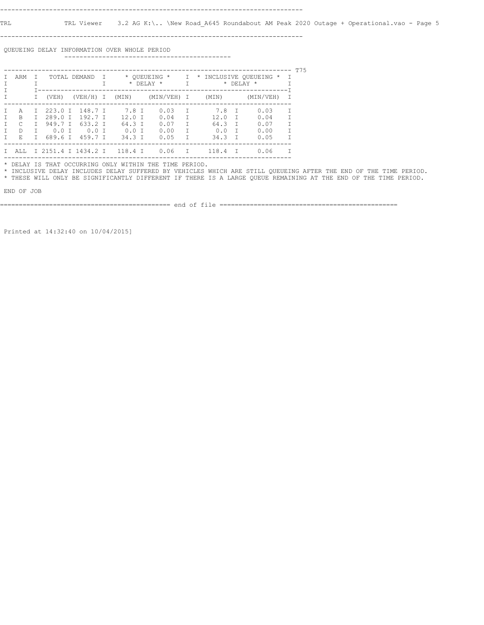--------------------------------------------------------------------------------

 QUEUEING DELAY INFORMATION OVER WHOLE PERIOD --------------------------------------------

| ARM<br>TOTAL DEMAND<br>$\top$ |        |         |                     |  |          | * OUEUEING *<br>$\star$ DELAY $\star$ | $\mathbf{I}$<br>T | * INCLUSIVE QUEUEING *<br>* DELAY | $\top$ | T75       |        |  |
|-------------------------------|--------|---------|---------------------|--|----------|---------------------------------------|-------------------|-----------------------------------|--------|-----------|--------|--|
|                               |        | (VEH)   | $(VEH/H)$ I         |  | (MIN)    | (MIN/VEH) I                           |                   | (MIN)                             |        | (MIN/VEH) |        |  |
| A                             | $\top$ | 223.0 I | 148.7 T             |  | 7.8 T    | 0.03                                  | $\top$            | 7.8                               | $\top$ | 0.03      | $\top$ |  |
| <sub>R</sub>                  | T      | 289.0 T | 192.7T              |  | $12.0$ T | 0.04                                  | T                 | 12.0                              | T      | 0.04      |        |  |
| C                             | T.     | 949.7 T | 633.2 T             |  | 64.3 T   | 0.07                                  | $\top$            | 64.3                              | $\top$ | 0.07      | $\top$ |  |
| <sup>D</sup>                  |        | $0.0$ T | $0.0$ T             |  | $0.0$ T  | 0.00                                  | T                 | 0.0                               | T      | 0.00      | T      |  |
| E.                            |        | 689.6 T | 459.7 T             |  | 34.3 T   | 0.05                                  | $\top$            | 34.3                              | $\top$ | 0.05      | $\top$ |  |
| AT.T.                         |        |         | I 2151.4 I 1434.2 I |  | 118.4 T  | 0.06                                  | T                 | 118.4                             | $\top$ | 0.06      |        |  |

\* DELAY IS THAT OCCURRING ONLY WITHIN THE TIME PERIOD.

 \* INCLUSIVE DELAY INCLUDES DELAY SUFFERED BY VEHICLES WHICH ARE STILL QUEUEING AFTER THE END OF THE TIME PERIOD. \* THESE WILL ONLY BE SIGNIFICANTLY DIFFERENT IF THERE IS A LARGE QUEUE REMAINING AT THE END OF THE TIME PERIOD.

END OF JOB

============================================= end of file ===============================================

Printed at 14:32:40 on 10/04/2015]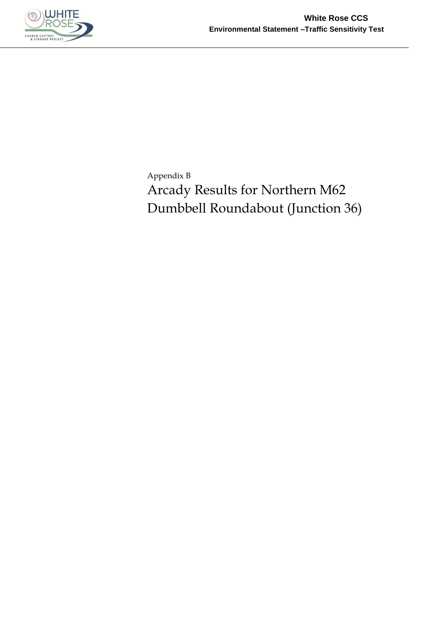

Appendix B Arcady Results for Northern M62 Dumbbell Roundabout (Junction 36)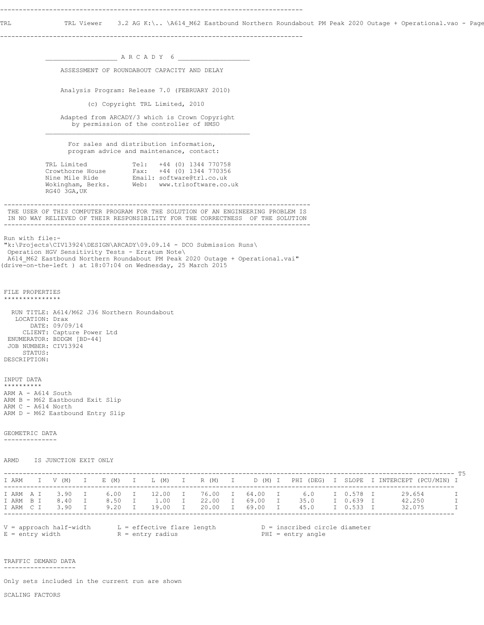TRL TRL Viewer 3.2 AG K:\.. \A614\_M62 Eastbound Northern Roundabout PM Peak 2020 Outage + Operational.vao - Page

--------------------------------------------------------------------------------

 $\_$  A R C A D Y 6  $\_$  ASSESSMENT OF ROUNDABOUT CAPACITY AND DELAY Analysis Program: Release 7.0 (FEBRUARY 2010) (c) Copyright TRL Limited, 2010 Adapted from ARCADY/3 which is Crown Copyright by permission of the controller of HMSO  $\mathcal{L}_\text{max}$  For sales and distribution information, program advice and maintenance, contact: TRL Limited Tel: +44 (0) 1344 770758 Crowthorne House Fax: +44 (0) 1344 770356 Nine Mile Ride Email: software@trl.co.uk Wokingham, Berks. Web: www.trlsoftware.co.uk RG40 3GA,UK --------------------------------------------------------------------------------- THE USER OF THIS COMPUTER PROGRAM FOR THE SOLUTION OF AN ENGINEERING PROBLEM IS IN NO WAY RELIEVED OF THEIR RESPONSIBILITY FOR THE CORRECTNESS OF THE SOLUTION --------------------------------------------------------------------------------- Run with file:- "k:\Projects\CIV13924\DESIGN\ARCADY\09.09.14 - DCO Submission Runs\ Operation HGV Sensitivity Tests - Erratum Note\ A614\_M62 Eastbound Northern Roundabout PM Peak 2020 Outage + Operational.vai" (drive-on-the-left ) at 18:07:04 on Wednesday, 25 March 2015 FILE PROPERTIES \*\*\*\*\*\*\*\*\*\*\*\*\*\*\* RUN TITLE: A614/M62 J36 Northern Roundabout LOCATION: Drax DATE: 09/09/14 CLIENT: Capture Power Ltd ENUMERATOR: BDDGM [BD-44] JOB NUMBER: CIV13924 STATUS: DESCRIPTION: INPUT DATA \*\*\*\*\*\*\*\*\*\* ARM A - A614 South ARM B - M62 Eastbound Exit Slip ARM C - A614 North ARM D - M62 Eastbound Entry Slip GEOMETRIC DATA -------------- ARMD IS JUNCTION EXIT ONLY ----------------------------------------------------------------------------------------------------------------------- T5 I ARM I V (M) I E (M) I L (M) I R (M) I D (M) I PHI (DEG) I SLOPE I INTERCEPT (PCU/MIN) I ----------------------------------------------------------------------------------------------------------------------- I ARM A I 3.90 I 6.00 I 12.00 I 76.00 I 64.00 I 6.0 I 0.578 I 29.654 I I ARM B I 8.40 I 8.50 I 1.00 I 22.00 I 69.00 I 35.0 I 0.639 I 42.250 I I ARM C I 3.90 I 9.20 I 19.00 I 20.00 I 69.00 I 45.0 I 0.533 I 32.075 I ----------------------------------------------------------------------------------------------------------------------- V = approach half-width L = effective flare length D = inscribed circle diameter E = entry width  $R = entry$  radius PHI = entry angle TRAFFIC DEMAND DATA -------------------

Only sets included in the current run are shown

SCALING FACTORS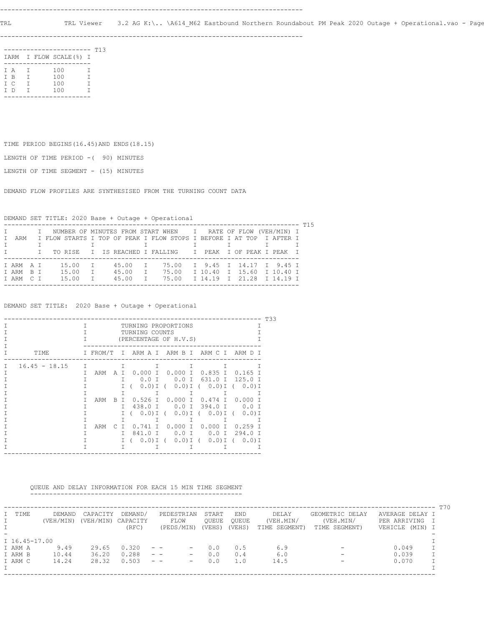TRL TRL Viewer 3.2 AG K:\.. \A614\_M62 Eastbound Northern Roundabout PM Peak 2020 Outage + Operational.vao - Page

--------------------------------------------------------------------------------

|     |        | -------                 |   | T13 |
|-----|--------|-------------------------|---|-----|
|     |        | IARM I FLOW SCALE (%) I |   |     |
|     |        |                         |   |     |
| T A | $\top$ | 100                     | т |     |
| T B | T      | 100                     | Т |     |
| T C | Т      | 100                     | т |     |
| T D | Т      | 100                     | т |     |
|     |        |                         |   |     |

TIME PERIOD BEGINS(16.45)AND ENDS(18.15)

LENGTH OF TIME PERIOD -( 90) MINUTES

LENGTH OF TIME SEGMENT - (15) MINUTES

DEMAND FLOW PROFILES ARE SYNTHESISED FROM THE TURNING COUNT DATA

DEMAND SET TITLE: 2020 Base + Outage + Operational

|   |         |  |  |  |       |              |  |           |  |  |       |  | I NUMBER OF MINUTES FROM START WHEN I RATE OF FLOW (VEH/MIN) I       |  |  |  |  |  |
|---|---------|--|--|--|-------|--------------|--|-----------|--|--|-------|--|----------------------------------------------------------------------|--|--|--|--|--|
| T | ARM     |  |  |  |       |              |  |           |  |  |       |  | I FLOW STARTS I TOP OF PEAK I FLOW STOPS I BEFORE I AT TOP I AFTER I |  |  |  |  |  |
|   |         |  |  |  |       |              |  |           |  |  |       |  |                                                                      |  |  |  |  |  |
|   |         |  |  |  |       |              |  |           |  |  |       |  | I TO RISE I IS REACHED I FALLING I PEAK I OF PEAK I PEAK I           |  |  |  |  |  |
|   |         |  |  |  |       |              |  |           |  |  |       |  |                                                                      |  |  |  |  |  |
|   | TARMAT  |  |  |  | 15.00 | $\mathbb{I}$ |  | 45.00     |  |  | 75.00 |  | I 9.45 I 14.17 I 9.45 I                                              |  |  |  |  |  |
|   | TARM BT |  |  |  | 15.00 |              |  | T 45.00 T |  |  | 75.00 |  | I 10.40 I 15.60 I 10.40 I                                            |  |  |  |  |  |
|   | TARM CT |  |  |  | 15.00 | $\top$       |  | 45.00     |  |  | 75.00 |  | T 14.19 T 21.28 T 14.19 T                                            |  |  |  |  |  |
|   |         |  |  |  |       |              |  |           |  |  |       |  |                                                                      |  |  |  |  |  |

DEMAND SET TITLE: 2020 Base + Outage + Operational

|   | T33             |    |          |           |        |                                                        |         |                     |           |  |  |  |  |  |
|---|-----------------|----|----------|-----------|--------|--------------------------------------------------------|---------|---------------------|-----------|--|--|--|--|--|
|   |                 | T. |          |           |        | TURNING PROPORTIONS<br>TURNING COUNTS                  |         |                     |           |  |  |  |  |  |
|   |                 |    |          |           |        | (PERCENTAGE OF H.V.S)                                  |         |                     |           |  |  |  |  |  |
|   |                 |    |          |           |        |                                                        |         |                     |           |  |  |  |  |  |
|   | TTMF.           |    | I FROM/T |           |        | I ARM A I ARM B I ARM C I ARM D I                      |         |                     |           |  |  |  |  |  |
| Τ | $16.45 - 18.15$ | T  |          |           | $\top$ | $\top$                                                 | T       | T                   | т         |  |  |  |  |  |
|   |                 | т. | ARM      | AT        |        | $0.000$ I $0.000$ I $0.835$ I                          |         |                     | 0.165     |  |  |  |  |  |
|   |                 |    |          |           | T.     |                                                        |         | 0.0 I 0.0 I 631.0 I | 125.0 I   |  |  |  |  |  |
|   |                 |    |          |           |        | $(0.0)$ I ( $(0.0)$ I ( $(0.0)$ I ( $(0.0)$ I<br>$I$ ( |         |                     |           |  |  |  |  |  |
|   |                 |    |          |           |        | T.                                                     |         |                     |           |  |  |  |  |  |
|   |                 | T. | ARM      | B.        |        | I 0.526 I 0.000 I 0.474 I 0.000                        |         |                     |           |  |  |  |  |  |
|   |                 |    |          |           | T.     | 438.0 T                                                |         | 0.0 I 394.0 I       | $0.0$ T   |  |  |  |  |  |
|   |                 |    |          |           |        | I ( 0.0) I ( 0.0) I ( 0.0) I (                         |         |                     | $0.0$ ) I |  |  |  |  |  |
|   |                 |    |          |           |        | T.                                                     |         |                     |           |  |  |  |  |  |
|   |                 |    | ARM      | $\subset$ | $\top$ | 0.741 I 0.000 I 0.000 I                                |         |                     | $0.259$ T |  |  |  |  |  |
|   |                 |    |          |           | T.     | 841.0 T                                                | $0.0$ T | $0.0$ T             | $294.0$ T |  |  |  |  |  |
|   |                 |    |          |           |        | I (0.0)I (0.0)I (0.0)I (0.0)I                          |         |                     |           |  |  |  |  |  |
|   |                 |    |          |           | T.     | T.                                                     | T       | $\mathbf{1}$        |           |  |  |  |  |  |
|   |                 |    |          |           |        |                                                        |         |                     |           |  |  |  |  |  |

 QUEUE AND DELAY INFORMATION FOR EACH 15 MIN TIME SEGMENT --------------------------------------------------------

|               |           |           |          |                                                                      |        |            |               |                 |                 | T70 |
|---------------|-----------|-----------|----------|----------------------------------------------------------------------|--------|------------|---------------|-----------------|-----------------|-----|
| I TIME        | DEMAND    | CAPACITY  | DEMAND/  | PEDESTRIAN                                                           | START  | <b>END</b> | DELAY         | GEOMETRIC DELAY | AVERAGE DELAY I |     |
|               | (VEH/MIN) | (VEH/MIN) | CAPACITY | FLOW                                                                 | OUEUE  | OUEUE      | (VEH.MIN/     | (VEH.MIN/       | PER ARRIVING    | - T |
|               |           |           | (RFC)    | (PEDS/MIN)                                                           | (VEHS) | (VEHS)     | TIME SEGMENT) | TIME SEGMENT)   | VEHICLE (MIN) I |     |
|               |           |           |          |                                                                      |        |            |               |                 |                 |     |
| I 16.45-17.00 |           |           |          |                                                                      |        |            |               |                 |                 |     |
| I ARM A       | 9.49      | 29.65     | 0.320    | $ -$<br>$\overline{\phantom{m}}$                                     | 0.0    | 0.5        | 6.9           |                 | 0.049           |     |
| I ARM B       | 10.44     | 36.20     | 0.288    | $\qquad \qquad -$<br>$\qquad \qquad -$                               | 0.0    | 0.4        | 6.0           |                 | 0.039           |     |
| I ARM C       | 14.24     | 28.32     | 0.503    | $\frac{1}{2} \left( \frac{1}{2} \right)$<br>$\overline{\phantom{m}}$ | 0.0    | 1.0        | 14.5          | -               | 0.070           |     |
|               |           |           |          |                                                                      |        |            |               |                 |                 |     |
|               |           |           |          |                                                                      |        |            |               |                 |                 |     |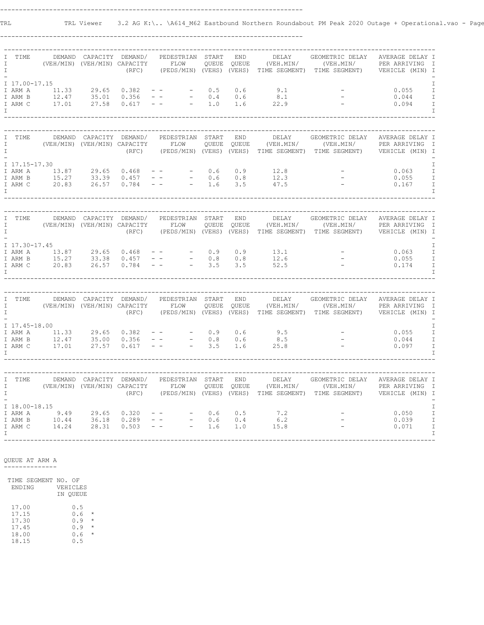TRL TRL Viewer 3.2 AG K:\.. \A614\_M62 Eastbound Northern Roundabout PM Peak 2020 Outage + Operational.vao - Page

--------------------------------------------------------------------------------

| I<br>I<br>$\mathbbm{I}$ | TIME               |                                                                                        | DEMAND CAPACITY DEMAND/<br>(VEH/MIN) (VEH/MIN) CAPACITY FLOW | (RFC)                    |             | PEDESTRIAN START                                                                                                                                                                                                          | QUEUE              | <b>END</b><br>QUEUE | DELAY                                        | GEOMETRIC DELAY<br>(PEDS/MIN) (VEHS) (VEHS) TIME SEGMENT) TIME SEGMENT) VEHICLE (MIN) I                                                   | AVERAGE DELAY I |                                |
|-------------------------|--------------------|----------------------------------------------------------------------------------------|--------------------------------------------------------------|--------------------------|-------------|---------------------------------------------------------------------------------------------------------------------------------------------------------------------------------------------------------------------------|--------------------|---------------------|----------------------------------------------|-------------------------------------------------------------------------------------------------------------------------------------------|-----------------|--------------------------------|
|                         |                    | I 17.00-17.15                                                                          |                                                              |                          |             |                                                                                                                                                                                                                           |                    |                     |                                              |                                                                                                                                           |                 | I                              |
|                         | I ARM A            | $11.33$ 29.65<br>12.47 35.01<br>17.01 27.58                                            |                                                              | $0.382 - -$              |             |                                                                                                                                                                                                                           | $-0.5$             | 0.6                 | 9.1                                          | <b>Contract Contract</b>                                                                                                                  | 0.055           | $\mathbf I$                    |
|                         | I ARM B            |                                                                                        |                                                              | $0.356 - -$              |             | $\frac{1}{2} \left( \frac{1}{2} \right)$ .                                                                                                                                                                                | 0.4                | 0.6                 | $8.1$<br>22.9                                |                                                                                                                                           | 0.044           | $\mathbbm{I}$                  |
|                         | I ARM C            |                                                                                        |                                                              | 0.617                    | $ \,$ $ \,$ | $\sim 100$                                                                                                                                                                                                                | 1.0                | 1.6                 |                                              |                                                                                                                                           | 0.094           | $\mathbbm{I}$                  |
| I                       |                    |                                                                                        |                                                              |                          |             |                                                                                                                                                                                                                           |                    |                     |                                              |                                                                                                                                           |                 | $\mathbf I$                    |
|                         |                    |                                                                                        |                                                              |                          |             |                                                                                                                                                                                                                           |                    |                     |                                              |                                                                                                                                           |                 |                                |
|                         |                    |                                                                                        |                                                              |                          |             |                                                                                                                                                                                                                           |                    |                     |                                              |                                                                                                                                           |                 |                                |
| I<br>I                  | TIME               | DEMAND                                                                                 | (VEH/MIN) (VEH/MIN) CAPACITY FLOW                            | CAPACITY DEMAND/         |             | PEDESTRIAN                                                                                                                                                                                                                | START              | END<br>QUEUE QUEUE  | DELAY                                        | GEOMETRIC DELAY<br>(VEH.MIN/ (VEH.MIN/ PER ARRIVING                                                                                       | AVERAGE DELAY I | $\mathbb{I}$                   |
| $\mathbb{I}$            |                    |                                                                                        |                                                              | (RFC)                    |             |                                                                                                                                                                                                                           |                    |                     |                                              | (PEDS/MIN) (VEHS) (VEHS) TIME SEGMENT) TIME SEGMENT) VEHICLE (MIN) I                                                                      |                 |                                |
|                         |                    |                                                                                        |                                                              |                          |             |                                                                                                                                                                                                                           |                    |                     |                                              |                                                                                                                                           |                 |                                |
|                         | I 17.15-17.30      |                                                                                        |                                                              |                          |             |                                                                                                                                                                                                                           |                    |                     |                                              |                                                                                                                                           |                 | I                              |
|                         | I ARM A<br>I ARM B |                                                                                        |                                                              |                          | $\pm$ $\pm$ |                                                                                                                                                                                                                           | 0.6<br>$-$ 0.6 0.8 |                     | $0.9$ $12.8$<br>$0.8$ $12.3$<br>$3.5$ $47.5$ |                                                                                                                                           | 0.063<br>0.055  | $\mathbbm{I}$<br>$\mathbbm{I}$ |
|                         | I ARM C            |                                                                                        |                                                              |                          | $ \,$ $-$   |                                                                                                                                                                                                                           | $-1.6$             |                     |                                              | <b>Contract Contract</b>                                                                                                                  | 0.167           | $\mathbbm{I}$                  |
| $\top$                  |                    |                                                                                        |                                                              |                          |             |                                                                                                                                                                                                                           |                    |                     |                                              |                                                                                                                                           |                 | I                              |
|                         |                    |                                                                                        |                                                              |                          |             |                                                                                                                                                                                                                           |                    |                     |                                              |                                                                                                                                           |                 |                                |
|                         |                    |                                                                                        |                                                              |                          |             |                                                                                                                                                                                                                           |                    |                     |                                              |                                                                                                                                           |                 |                                |
| I                       | TIME               |                                                                                        | DEMAND CAPACITY DEMAND/                                      |                          |             | PEDESTRIAN START                                                                                                                                                                                                          |                    | <b>END</b>          | DELAY                                        | GEOMETRIC DELAY                                                                                                                           | AVERAGE DELAY I |                                |
| $\mathbf{I}$            |                    | (VEH/MIN) (VEH/MIN) CAPACITY FLOW                                                      |                                                              |                          |             |                                                                                                                                                                                                                           |                    | QUEUE QUEUE         |                                              | (VEH.MIN/ (VEH.MIN/ PER ARRIVING I                                                                                                        |                 |                                |
| $\mathbb{I}$            |                    |                                                                                        |                                                              |                          |             |                                                                                                                                                                                                                           |                    |                     |                                              | (RFC) (PEDS/MIN) (VEHS) (VEHS) TIME SEGMENT) TIME SEGMENT) VEHICLE (MIN) I                                                                |                 |                                |
|                         |                    | I 17.30-17.45                                                                          |                                                              |                          |             |                                                                                                                                                                                                                           |                    |                     |                                              |                                                                                                                                           |                 | $\mathbbm{I}$                  |
|                         |                    |                                                                                        |                                                              |                          |             |                                                                                                                                                                                                                           | $-0.9$             | 0.9                 |                                              |                                                                                                                                           | 0.063           | $\mathbbm{I}$                  |
|                         |                    | TARMA 13.87 29.65 0.468 --<br>TARMB 15.27 33.38 0.457 --<br>TARMC 20.83 26.57 0.784 -- |                                                              |                          |             |                                                                                                                                                                                                                           | $- 0.8$            | 0.8                 | $13.1$<br>$12.6$<br>$52.5$                   |                                                                                                                                           | 0.055           | $\mathbbm{I}$                  |
|                         |                    |                                                                                        |                                                              |                          |             | $\sim 100$                                                                                                                                                                                                                | 3.5                | 3.5                 |                                              |                                                                                                                                           | 0.174           | $\mathbbm{I}$                  |
| $\mathbf{I}$            |                    |                                                                                        |                                                              |                          |             |                                                                                                                                                                                                                           |                    |                     |                                              |                                                                                                                                           |                 | $\mathbf I$                    |
|                         |                    |                                                                                        |                                                              |                          |             |                                                                                                                                                                                                                           |                    |                     |                                              |                                                                                                                                           |                 |                                |
|                         |                    |                                                                                        |                                                              |                          |             |                                                                                                                                                                                                                           |                    |                     |                                              |                                                                                                                                           |                 |                                |
| I<br>$\mathbb{I}$       | TIME               | DEMAND<br>(VEH/MIN) (VEH/MIN) CAPACITY FLOW                                            |                                                              | CAPACITY DEMAND/         |             | PEDESTRIAN START                                                                                                                                                                                                          |                    | END                 | DELAY<br>(VEH.MIN/                           | GEOMETRIC DELAY AVERAGE DELAY I                                                                                                           |                 |                                |
| $\mathbb{I}$            |                    |                                                                                        |                                                              | (RFC)                    |             |                                                                                                                                                                                                                           |                    |                     |                                              | FLOW QUEUE QUEUE (VEH.MIN/ (VEH.MIN/ PERARRIVING I<br>(PEDS/MIN)(VEHS) (VEHS) TIME-SEGMENT) TIME-SEGMENT) VEHICLE (MIN)I                  |                 |                                |
|                         |                    |                                                                                        |                                                              |                          |             |                                                                                                                                                                                                                           |                    |                     |                                              |                                                                                                                                           |                 |                                |
|                         | I 17.45-18.00      |                                                                                        |                                                              |                          |             |                                                                                                                                                                                                                           |                    |                     |                                              |                                                                                                                                           |                 | I                              |
|                         |                    | I ARM A 11.33                                                                          | 29.65                                                        | 0.382                    |             | $\frac{1}{2} \left( \frac{1}{2} \left( \frac{1}{2} \right) - \frac{1}{2} \left( \frac{1}{2} \right) \right) + \frac{1}{2} \left( \frac{1}{2} \left( \frac{1}{2} \right) - \frac{1}{2} \left( \frac{1}{2} \right) \right)$ | 0.9                | 0.6                 | 9.5                                          |                                                                                                                                           | 0.055           | $\mathbbm{I}$<br>$\mathbbm{I}$ |
|                         | I ARM B<br>I ARM C | $12.47$ $35.00$<br>$17.01$ $27.57$                                                     |                                                              | $0.356 - -$<br>0.617 - - |             | $\sim$ 100 $\mu$                                                                                                                                                                                                          | $-0.8$<br>3.5      | 0.6<br>1.6          | $8.5$<br>25.8                                | $\frac{1}{2} \sum_{i=1}^{n} \frac{1}{2} \left( \frac{1}{2} \right)^2$                                                                     | 0.044<br>0.097  | $\mathbbm{I}$                  |
| $\top$                  |                    |                                                                                        |                                                              |                          |             |                                                                                                                                                                                                                           |                    |                     |                                              |                                                                                                                                           |                 | T                              |
|                         |                    |                                                                                        |                                                              |                          |             |                                                                                                                                                                                                                           |                    |                     |                                              |                                                                                                                                           |                 |                                |
|                         |                    |                                                                                        |                                                              |                          |             |                                                                                                                                                                                                                           |                    |                     |                                              |                                                                                                                                           |                 |                                |
| $\mathbb{I}$            | TIME               |                                                                                        | DEMAND CAPACITY DEMAND/                                      |                          |             | PEDESTRIAN START                                                                                                                                                                                                          |                    | <b>END</b>          | DELAY                                        | GEOMETRIC DELAY                                                                                                                           | AVERAGE DELAY I |                                |
| $\mathbf{I}$            |                    |                                                                                        | (VEH/MIN) (VEH/MIN) CAPACITY FLOW                            |                          |             |                                                                                                                                                                                                                           |                    |                     |                                              | PACITY FLOW QUEUE QUEUE (VEH.MIN/ (VEH.MIN/ PERARRIVING I).<br>(RFC) (PEDS/MIN) (VEHS) (VEHS) TIME SEGMENT) TIME SEGMENT) VEHICLE (MIN) I |                 |                                |
| $\mathbf{I}$            |                    |                                                                                        |                                                              |                          |             |                                                                                                                                                                                                                           |                    |                     |                                              |                                                                                                                                           |                 |                                |
|                         |                    |                                                                                        |                                                              |                          |             |                                                                                                                                                                                                                           |                    |                     |                                              |                                                                                                                                           |                 |                                |
|                         | I ARM A            | I 18.00-18.15                                                                          |                                                              | 0.320                    |             |                                                                                                                                                                                                                           | 0.6                | 0.5                 | 7.2                                          |                                                                                                                                           | 0.050           | $\mathbbm{I}$<br>$\mathbbm{I}$ |
|                         | I ARM B            |                                                                                        |                                                              | 0.289                    |             | $\omega_{\rm c}$ , $\omega_{\rm c}$ , $\omega_{\rm c}$<br>$\overline{\phantom{a}}$                                                                                                                                        | 0.6                | 0.4                 | 6.2                                          |                                                                                                                                           | 0.039           | $\mathbbm{I}$                  |
|                         | I ARM C            | $9.49$<br>$10.44$<br>$14.24$<br>$28.31$                                                |                                                              | 0.503                    |             | $\frac{1}{2}$ , $\frac{1}{2}$ , $\frac{1}{2}$ , $\frac{1}{2}$                                                                                                                                                             | 1.6                | 1.0                 | 15.8                                         |                                                                                                                                           | 0.071           | $\mathbbm{I}$                  |
| $\top$                  |                    |                                                                                        |                                                              |                          |             |                                                                                                                                                                                                                           |                    |                     |                                              |                                                                                                                                           |                 | T                              |
|                         |                    |                                                                                        |                                                              |                          |             |                                                                                                                                                                                                                           |                    |                     |                                              |                                                                                                                                           |                 |                                |

 QUEUE AT ARM A --------------

 TIME SEGMENT NO. OF ENDING VEHICLES IN QUEUE

 $17.00$ <br> $17.15$ <br> $17.30$  17.15 0.6 \* 17.30 0.9 \* 17.45 0.9 \* 18.00 0.6 \*  $17.45$ <br> $18.00$ <br> $18.15$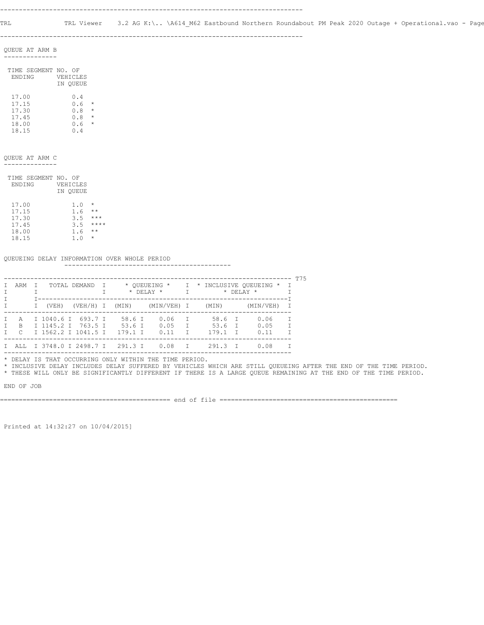QUEUE AT ARM B --------------

| TIME SEGMENT NO. | ΩF       |         |
|------------------|----------|---------|
| <b>ENDING</b>    | VEHICLES |         |
|                  | IN OUEUE |         |
|                  |          |         |
| 17.00            | 0.4      |         |
| 17.15            | 0.6      | *       |
| 17.30            | 0.8      | $\star$ |
| 17.45            | 0.8      | $\star$ |
| 18.00            | 0.6      | $\star$ |
| 18.15            | N 4      |         |
|                  |          |         |

QUEUE AT ARM C

--------------

|               | TIME SEGMENT NO. OF |          |          |
|---------------|---------------------|----------|----------|
| <b>ENDING</b> |                     | VEHICLES |          |
|               |                     | IN OUEUE |          |
| 17.00         |                     | 1.0      | $^\star$ |

| 17.15 | 1.6 | $***$   |
|-------|-----|---------|
| 17.30 | 3.5 | $***$   |
| 17.45 | 3.5 | ****    |
| 18.00 | 1.6 | $***$   |
| 18.15 | 1.0 | $\star$ |
|       |     |         |

#### QUEUEING DELAY INFORMATION OVER WHOLE PERIOD

--------------------------------------------

|     |       |                                              |              |                                                                  |  |                                   |              |                  |              |   | ጥ75 |
|-----|-------|----------------------------------------------|--------------|------------------------------------------------------------------|--|-----------------------------------|--------------|------------------|--------------|---|-----|
| ARM |       | TOTAL DEMAND                                 | $\mathbf{I}$ | * OUEUEING * I * INCLUSIVE OUEUEING * I<br>$\star$ DELAY $\star$ |  |                                   |              | $*$ DELAY $*$    |              |   |     |
|     | (VEH) |                                              |              |                                                                  |  | (VEH/H) I (MIN) (MIN/VEH) I (MIN) |              |                  | (MIN/VEH)    |   |     |
|     |       | A I 1040.6 I 693.7 I<br>B I 1145.2 I 763.5 I |              | 58.6 I<br>53.6 T                                                 |  | 0.06<br>0.05                      | T<br>$\top$  | 58.6 I<br>53.6 T | 0.06<br>0.05 | T |     |
|     |       | T 1562.2 T 1041.5 T                          |              | 179.1 T                                                          |  | 0.11                              |              | 179.1 T          | 0.11         |   |     |
|     |       | ALL I 3748.0 I 2498.7 I 291.3 I              |              |                                                                  |  | 0.08                              | $\mathbb{I}$ | $291.3$ T        | 0.08         |   |     |

\* DELAY IS THAT OCCURRING ONLY WITHIN THE TIME PERIOD.

 \* INCLUSIVE DELAY INCLUDES DELAY SUFFERED BY VEHICLES WHICH ARE STILL QUEUEING AFTER THE END OF THE TIME PERIOD. \* THESE WILL ONLY BE SIGNIFICANTLY DIFFERENT IF THERE IS A LARGE QUEUE REMAINING AT THE END OF THE TIME PERIOD.

END OF JOB

============================================= end of file ===============================================

Printed at 14:32:27 on 10/04/2015]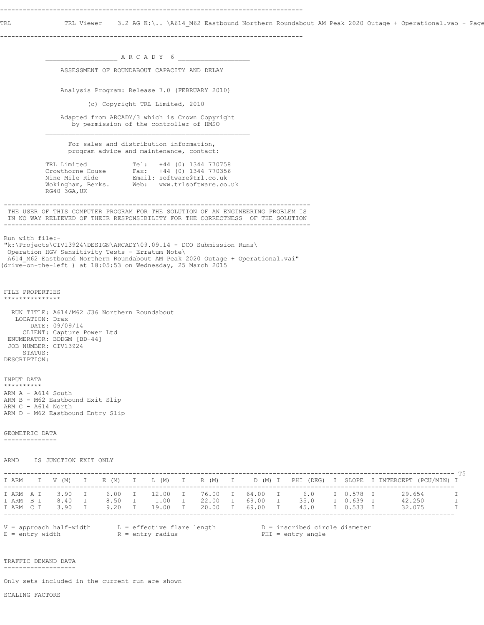TRL TRL Viewer 3.2 AG K:\.. \A614\_M62 Eastbound Northern Roundabout AM Peak 2020 Outage + Operational.vao - Page

--------------------------------------------------------------------------------

 $\_$  A R C A D Y 6  $\_$  ASSESSMENT OF ROUNDABOUT CAPACITY AND DELAY Analysis Program: Release 7.0 (FEBRUARY 2010) (c) Copyright TRL Limited, 2010 Adapted from ARCADY/3 which is Crown Copyright by permission of the controller of HMSO  $\mathcal{L}_\text{max}$  For sales and distribution information, program advice and maintenance, contact: TRL Limited Tel: +44 (0) 1344 770758 Crowthorne House Fax: +44 (0) 1344 770356 Nine Mile Ride Email: software@trl.co.uk Wokingham, Berks. Web: www.trlsoftware.co.uk RG40 3GA,UK --------------------------------------------------------------------------------- THE USER OF THIS COMPUTER PROGRAM FOR THE SOLUTION OF AN ENGINEERING PROBLEM IS IN NO WAY RELIEVED OF THEIR RESPONSIBILITY FOR THE CORRECTNESS OF THE SOLUTION --------------------------------------------------------------------------------- Run with file:- "k:\Projects\CIV13924\DESIGN\ARCADY\09.09.14 - DCO Submission Runs\ Operation HGV Sensitivity Tests - Erratum Note\ A614\_M62 Eastbound Northern Roundabout AM Peak 2020 Outage + Operational.vai" (drive-on-the-left ) at 18:05:53 on Wednesday, 25 March 2015 FILE PROPERTIES \*\*\*\*\*\*\*\*\*\*\*\*\*\*\* RUN TITLE: A614/M62 J36 Northern Roundabout LOCATION: Drax DATE: 09/09/14 CLIENT: Capture Power Ltd ENUMERATOR: BDDGM [BD-44] JOB NUMBER: CIV13924 STATUS: DESCRIPTION: INPUT DATA \*\*\*\*\*\*\*\*\*\* ARM A - A614 South ARM B - M62 Eastbound Exit Slip ARM C - A614 North ARM D - M62 Eastbound Entry Slip GEOMETRIC DATA -------------- ARMD IS JUNCTION EXIT ONLY ----------------------------------------------------------------------------------------------------------------------- T5 I ARM I V (M) I E (M) I L (M) I R (M) I D (M) I PHI (DEG) I SLOPE I INTERCEPT (PCU/MIN) I ----------------------------------------------------------------------------------------------------------------------- I ARM A I 3.90 I 6.00 I 12.00 I 76.00 I 64.00 I 6.0 I 0.578 I 29.654 I I ARM B I 8.40 I 8.50 I 1.00 I 22.00 I 69.00 I 35.0 I 0.639 I 42.250 I I ARM C I 3.90 I 9.20 I 19.00 I 20.00 I 69.00 I 45.0 I 0.533 I 32.075 I ----------------------------------------------------------------------------------------------------------------------- V = approach half-width L = effective flare length D = inscribed circle diameter E = entry width  $R = entry$  radius PHI = entry angle TRAFFIC DEMAND DATA -------------------

Only sets included in the current run are shown

SCALING FACTORS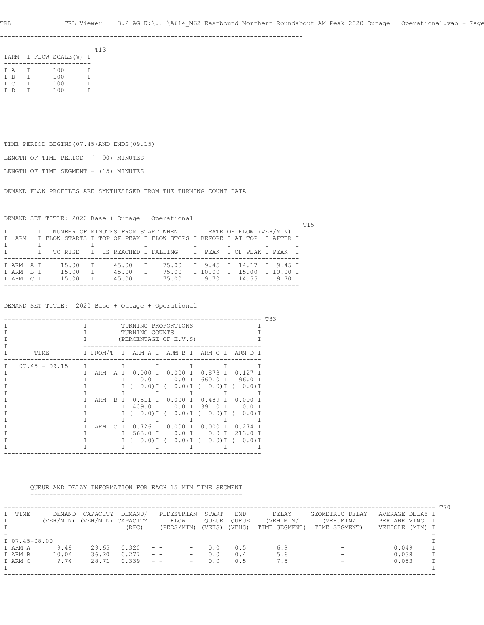TRL TRL Viewer 3.2 AG K:\.. \A614\_M62 Eastbound Northern Roundabout AM Peak 2020 Outage + Operational.vao - Page

--------------------------------------------------------------------------------

|     |          | ------                  |   | T13 |
|-----|----------|-------------------------|---|-----|
|     |          | IARM I FLOW SCALE (%) I |   |     |
|     |          |                         |   |     |
| T A | $\Gamma$ | 100                     | т |     |
| T B | T.       | 100                     | Т |     |
| T C | т        | 100                     | т |     |
| T D | T.       | 100                     | т |     |
|     |          |                         |   |     |

TIME PERIOD BEGINS(07.45)AND ENDS(09.15)

LENGTH OF TIME PERIOD -( 90) MINUTES

LENGTH OF TIME SEGMENT - (15) MINUTES

DEMAND FLOW PROFILES ARE SYNTHESISED FROM THE TURNING COUNT DATA

DEMAND SET TITLE: 2020 Base + Outage + Operational

|        |         |  |  |  |       |              |  |           |  | I NUMBER OF MINUTES FROM START WHEN I RATE OF FLOW (VEH/MIN) I       |  |                           |  |  |  |  |  |
|--------|---------|--|--|--|-------|--------------|--|-----------|--|----------------------------------------------------------------------|--|---------------------------|--|--|--|--|--|
| $\top$ | ARM     |  |  |  |       |              |  |           |  | I FLOW STARTS I TOP OF PEAK I FLOW STOPS I BEFORE I AT TOP I AFTER I |  |                           |  |  |  |  |  |
|        |         |  |  |  |       |              |  |           |  |                                                                      |  |                           |  |  |  |  |  |
|        |         |  |  |  |       |              |  |           |  | I TO RISE I IS REACHED I FALLING I PEAK I OF PEAK I PEAK I           |  |                           |  |  |  |  |  |
|        |         |  |  |  |       |              |  |           |  |                                                                      |  |                           |  |  |  |  |  |
|        | TARMAT  |  |  |  | 15.00 | $\mathbb{I}$ |  | 45.00     |  | T 75.00                                                              |  | T 9.45 T 14.17 T 9.45 T   |  |  |  |  |  |
|        | TARM BT |  |  |  | 15.00 |              |  | T 45.00 T |  | 75.00                                                                |  | I 10.00 I 15.00 I 10.00 I |  |  |  |  |  |
|        | TARM CT |  |  |  | 15.00 | $\top$       |  | 45.00     |  | 75.00                                                                |  | I 9.70 I 14.55 I 9.70 I   |  |  |  |  |  |
|        |         |  |  |  |       |              |  |           |  |                                                                      |  |                           |  |  |  |  |  |

DEMAND SET TITLE: 2020 Base + Outage + Operational

|   |                 |        |          |           |              |                                                    | T33 |
|---|-----------------|--------|----------|-----------|--------------|----------------------------------------------------|-----|
|   |                 | T.     |          |           |              | TURNING PROPORTIONS<br>TURNING COUNTS              |     |
|   |                 |        |          |           |              | (PERCENTAGE OF H.V.S)                              |     |
|   | TTMF.           |        | I FROM/T |           |              | I ARM A I ARM B I ARM C I ARM D I                  |     |
| Τ | $07.45 - 09.15$ | $\top$ |          |           | $\top$       | $\top$<br>T.<br>т<br>T                             |     |
|   |                 | T.     | ARM      | AT.       |              | $0.000$ I 0.000 I 0.873 I<br>$0.127$ T             |     |
|   |                 |        |          |           | T.           | 0.0 I 0.0 I 660.0 I 96.0 I                         |     |
|   |                 |        |          |           |              | $0.0)$ I ( $0.0)$ I ( $0.0)$ I ( $0.0)$ I<br>$I$ ( |     |
|   |                 |        |          |           |              | T.                                                 |     |
|   |                 |        | ARM      | B.        | T            | $0.511$ I 0.000 I 0.489 I 0.000<br>$\top$          |     |
|   |                 |        |          |           | T.           | $409.0$ T<br>0.0 I 391.0 I<br>$0.0$ T              |     |
|   |                 |        |          |           |              | $I$ ( 0.0) I ( 0.0) I ( 0.0) I (<br>$0.0$ ) I      |     |
|   |                 |        |          |           |              | T.                                                 |     |
|   |                 |        | ARM      | $\subset$ | $\mathbb{I}$ | $0.726$ I 0.000 I 0.000 I<br>0.274                 |     |
|   |                 |        |          |           | T.           | 563.0 I<br>$0.0$ T<br>$0.0$ T<br>$213.0$ T         |     |
|   |                 |        |          |           |              | I (0.0)I (0.0)I (0.0)I (0.0)I                      |     |
|   |                 |        |          |           | T.           | T.<br>T<br>$\mathbf{1}$                            |     |
|   |                 |        |          |           |              |                                                    |     |

QUEUE AND DELAY INFORMATION FOR EACH 15 MIN TIME SEGMENT

--------------------------------------------------------

|               |           |           |          |                                                                      |        |            |               |                          |                 | T70    |
|---------------|-----------|-----------|----------|----------------------------------------------------------------------|--------|------------|---------------|--------------------------|-----------------|--------|
| I TIME        | DEMAND    | CAPACITY  | DEMAND/  | PEDESTRIAN                                                           | START  | <b>END</b> | DELAY         | GEOMETRIC DELAY          | AVERAGE DELAY I |        |
|               | (VEH/MIN) | (VEH/MIN) | CAPACITY | FLOW                                                                 | OUEUE  | OUEUE      | (VEH.MIN/     | (VEH.MIN/                | PER ARRIVING    | $\top$ |
|               |           |           | (RFC)    | (PEDS/MIN)                                                           | (VEHS) | (VEHS)     | TIME SEGMENT) | TIME SEGMENT)            | VEHICLE (MIN) I |        |
|               |           |           |          |                                                                      |        |            |               |                          |                 |        |
| I 07.45-08.00 |           |           |          |                                                                      |        |            |               |                          |                 |        |
| I ARM A       | 9.49      | 29.65     | 0.320    | $ -$<br>$\overline{\phantom{m}}$                                     | 0.0    | 0.5        | 6.9           |                          | 0.049           |        |
| I ARM B       | 10.04     | 36.20     | 0.277    | $\frac{1}{2} \left( \frac{1}{2} \right)$<br>$\qquad \qquad -$        | 0.0    | 0.4        | 5.6           |                          | 0.038           |        |
| I ARM C       | 9.74      | 28.71     | 0.339    | $\frac{1}{2} \left( \frac{1}{2} \right)$<br>$\overline{\phantom{m}}$ | 0.0    | 0.5        | 7.5           | $\overline{\phantom{0}}$ | 0.053           |        |
|               |           |           |          |                                                                      |        |            |               |                          |                 |        |
|               |           |           |          |                                                                      |        |            |               |                          |                 |        |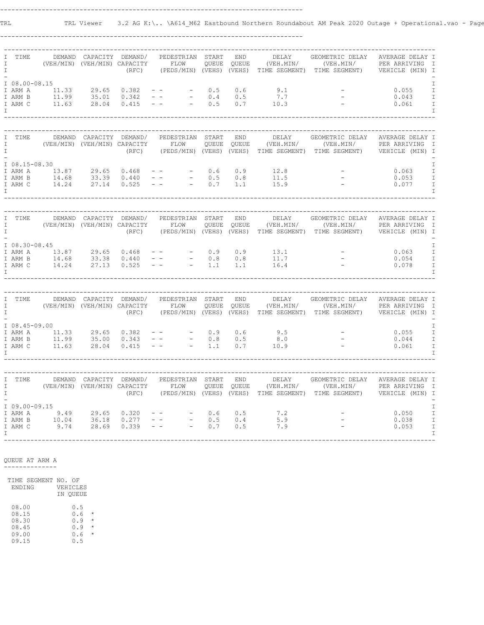TRL TRL Viewer 3.2 AG K:\.. \A614\_M62 Eastbound Northern Roundabout AM Peak 2020 Outage + Operational.vao - Page

--------------------------------------------------------------------------------

| I<br>$\mathbf I$                 | TIME                                             | DEMAND                              | CAPACITY DEMAND/<br>(VEH/MIN) (VEH/MIN) CAPACITY        | (RFC)                     | PEDESTRIAN<br>FLOW<br>(PEDS/MIN) (VEHS) (VEHS)                                                  | START<br>QUEUE    | END<br>OUEUE          | DELAY<br>(VEH.MIN/<br>TIME SEGMENT) | GEOMETRIC DELAY<br>(VEH.MIN/<br>TIME SEGMENT)                                                     | AVERAGE DELAY I<br>PER ARRIVING<br>VEHICLE (MIN) I     | I                                                                             |
|----------------------------------|--------------------------------------------------|-------------------------------------|---------------------------------------------------------|---------------------------|-------------------------------------------------------------------------------------------------|-------------------|-----------------------|-------------------------------------|---------------------------------------------------------------------------------------------------|--------------------------------------------------------|-------------------------------------------------------------------------------|
| I                                | I 08.00-08.15<br>I ARM A<br>I ARM B<br>I ARM C   | 11.33<br>11.99<br>11.63             | 29.65<br>35.01<br>28.04                                 | 0.382<br>0.342<br>0.415   | $\qquad \qquad -$<br>$ \,$ $-$<br>$\overline{\phantom{a}}$<br>$ -$                              | 0.5<br>0.4<br>0.5 | 0.6<br>0.5<br>0.7     | 9.1<br>7.7<br>10.3                  |                                                                                                   | 0.055<br>0.043<br>0.061                                | I<br>$\mathbbm{I}$<br>$\mathbbm{I}$<br>$\mathbbm{1}$<br>$\mathbf I$           |
| I<br>I<br>$\mathbf{I}$           | TIME                                             | DEMAND                              | CAPACITY<br>(VEH/MIN) (VEH/MIN) CAPACITY                | DEMAND/<br>(RFC)          | PEDESTRIAN<br>FLOW<br>(PEDS/MIN) (VEHS) (VEHS)                                                  | START<br>QUEUE    | END<br>QUEUE          | DELAY<br>(VEH.MIN/<br>TIME SEGMENT) | GEOMETRIC DELAY<br>(VEH.MIN/<br>TIME SEGMENT)                                                     | AVERAGE DELAY I<br>PER ARRIVING<br>VEHICLE (MIN) I     | $\mathbb{I}$                                                                  |
| I                                | $I$ 08.15-08.30<br>I ARM A<br>I ARM B<br>I ARM C | 13.87<br>14.68<br>14.24             | 29.65<br>33.39<br>27.14                                 | 0.468<br>0.440<br>0.525   | $ \,$ $-$<br>$\qquad \qquad -$                                                                  | 0.6<br>0.5<br>0.7 | 0.9<br>0.8<br>1.1     | 12.8<br>11.5<br>15.9                |                                                                                                   | 0.063<br>0.053<br>0.077                                | I<br>$\mathbf I$<br>$\mathbbm{I}$<br>$\mathbbm{1}$<br>I                       |
| I<br>$\mathbf I$<br>I            | TIME                                             | DEMAND                              | CAPACITY DEMAND/<br>(VEH/MIN) (VEH/MIN) CAPACITY        | (RFC)                     | PEDESTRIAN<br>FLOW<br>(PEDS/MIN) (VEHS) (VEHS)                                                  | START<br>QUEUE    | $\text{END}$<br>QUEUE | DELAY<br>(VEH.MIN/                  | GEOMETRIC DELAY<br>(VEH.MIN/<br>TIME SEGMENT) TIME SEGMENT)                                       | AVERAGE DELAY I<br>PER ARRIVING<br>VEHICLE (MIN) I     | $\mathbb{I}$                                                                  |
| I                                | $I$ 08.30-08.45<br>I ARM A<br>I ARM B<br>I ARM C | 13.87 29.65<br>14.68 33.38<br>14.24 | 27.13                                                   | 0.468<br>0.440<br>0.525   | $ \,$ $-$<br>$\overline{\phantom{a}}$                                                           | 0.9<br>0.8<br>1.1 | 0.9<br>0.8<br>1.1     | 13.1<br>11.7<br>16.4                |                                                                                                   | 0.063<br>0.054<br>0.078                                | $\mathbf I$<br>$\mathbbm{I}$<br>$\mathbbm{I}$<br>$\mathbbm{I}$<br>$\mathbf I$ |
|                                  |                                                  |                                     |                                                         |                           |                                                                                                 |                   |                       |                                     |                                                                                                   |                                                        |                                                                               |
| I<br>$\mathbf{I}$<br>$\mathbf I$ | TIME                                             | DEMAND                              | (VEH/MIN) (VEH/MIN) CAPACITY                            | CAPACITY DEMAND/<br>(RFC) | PEDESTRIAN START<br>FLOW<br>(PEDS/MIN) (VEHS) (VEHS)                                            | QUEUE             | END<br>QUEUE          | DELAY<br>(VEH.MIN/<br>TIME SEGMENT) | GEOMETRIC DELAY<br>(VEH.MIN/<br>TIME SEGMENT)                                                     | AVERAGE DELAY I<br>PER ARRIVING I<br>) VEHICLE (MIN) I |                                                                               |
| $\top$                           | $I$ 08.45-09.00<br>I ARM A<br>I ARM B<br>I ARM C | 11.33<br>11.99<br>11.63             | 29.65<br>35.00<br>28.04                                 | 0.382<br>0.343<br>0.415   | $ \,$ $-$<br>$\overline{\phantom{a}}$<br>$\frac{1}{2} \left( \frac{1}{2} \right) = \frac{1}{2}$ | 0.9<br>0.8<br>1.1 | 0.6<br>0.5<br>0.7     | 9.5<br>8.0<br>10.9                  |                                                                                                   | 0.055<br>0.044<br>0.061                                | Ι<br>$\mathbbm{I}$<br>$\mathbbm{I}$<br>$\mathbbm{I}$<br>$\mathbf I$           |
| I<br>$\mathbf{I}$<br>T           | TIME                                             |                                     | DEMAND CAPACITY DEMAND/<br>(VEH/MIN) (VEH/MIN) CAPACITY | (RFC)                     | PEDESTRIAN START<br>FLOW                                                                        | QUEUE             | <b>END</b><br>QUEUE   | DELAY<br>(VEH.MIN/                  | GEOMETRIC DELAY<br>(VEH.MIN/ PER ARRIVING<br>(PEDS/MIN) (VEHS) (VEHS) TIME SEGMENT) TIME SEGMENT) | AVERAGE DELAY I<br>VEHICLE (MIN) I                     | $\mathbb{I}$                                                                  |
| $\top$                           | I 09.00-09.15<br>I ARM A<br>I ARM B<br>I ARM C   | 9.49<br>10.04<br>9.74               | 29.65<br>36.18<br>28.69                                 | 0.320<br>0.277<br>0.339   | $ \,$ $-$<br>$\overline{\phantom{a}}$<br>$\sim$ $ -$                                            | 0.6<br>0.5<br>0.7 | 0.5<br>0.4<br>0.5     | 7.2<br>5.9<br>7.9                   |                                                                                                   | 0.050<br>0.038<br>0.053                                | I<br>$\mathbbm{I}$<br>$\mathbbm{I}$<br>$\mathbbm{1}$<br>$\mathbf I$           |

 QUEUE AT ARM A --------------

 TIME SEGMENT NO. OF ENDING VEHICLES IN QUEUE  $08.00$ <br> $08.15$ <br> $08.30$  08.15 0.6 \* 08.30 0.9 \* 08.45 0.9 \* 09.00 0.6 \*  $08.45$ <br> $09.00$ <br> $09.15$